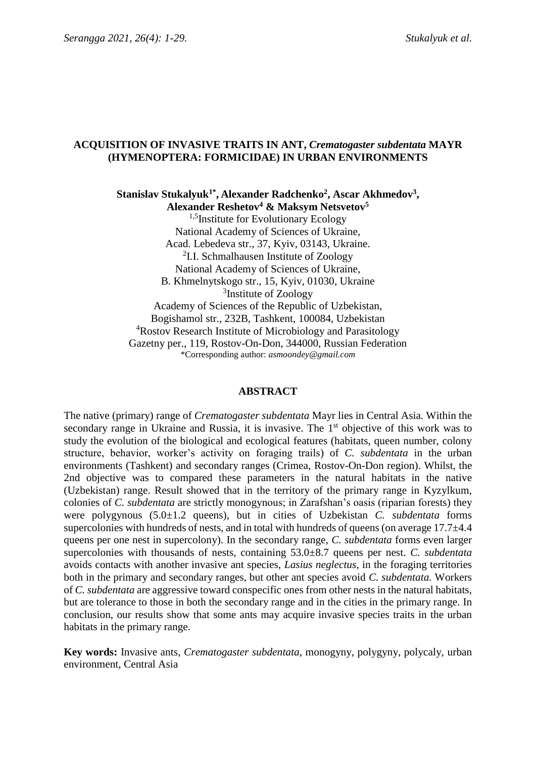# **ACQUISITION OF INVASIVE TRAITS IN ANT,** *Crematogaster subdentata* **MAYR (HYMENOPTERA: FORMICIDAE) IN URBAN ENVIRONMENTS**

**Stanislav Stukalyuk1\* , Alexander Radchenko<sup>2</sup> , Ascar Akhmedov<sup>3</sup> , Alexander Reshetov<sup>4</sup> & Maksym Netsvetov<sup>5</sup>** <sup>1,5</sup>Institute for Evolutionary Ecology National Academy of Sciences of Ukraine, Acad. Lebedeva str., 37, Kyiv, 03143, Ukraine. <sup>2</sup>I.I. Schmalhausen Institute of Zoology National Academy of Sciences of Ukraine, B. Khmelnytskogo str., 15, Kyiv, 01030, Ukraine <sup>3</sup>Institute of Zoology Academy of Sciences of the Republic of Uzbekistan, Bogishamol str., 232B, Tashkent, 100084, Uzbekistan <sup>4</sup>Rostov Research Institute of Microbiology and Parasitology Gazetny per., 119, Rostov-On-Don, 344000, Russian Federation \*Corresponding author: *asmoondey@gmail.com*

## **ABSTRACT**

The native (primary) range of *Crematogaster subdentata* Mayr lies in Central Asia. Within the secondary range in Ukraine and Russia, it is invasive. The 1<sup>st</sup> objective of this work was to study the evolution of the biological and ecological features (habitats, queen number, colony structure, behavior, worker's activity on foraging trails) of *C. subdentata* in the urban environments (Tashkent) and secondary ranges (Crimea, Rostov-On-Don region). Whilst, the 2nd objective was to compared these parameters in the natural habitats in the native (Uzbekistan) range. Result showed that in the territory of the primary range in Kyzylkum, colonies of *C. subdentata* are strictly monogynous; in Zarafshan's oasis (riparian forests) they were polygynous (5.0±1.2 queens), but in cities of Uzbekistan *C. subdentata* forms supercolonies with hundreds of nests, and in total with hundreds of queens (on average  $17.7\pm4.4$ ) queens per one nest in supercolony). In the secondary range, *C. subdentata* forms even larger supercolonies with thousands of nests, containing 53.0±8.7 queens per nest. *C. subdentata* avoids contacts with another invasive ant species, *Lasius neglectus*, in the foraging territories both in the primary and secondary ranges, but other ant species avoid *C. subdentata.* Workers of *C. subdentata* are aggressive toward conspecific ones from other nests in the natural habitats, but are tolerance to those in both the secondary range and in the cities in the primary range. In conclusion, our results show that some ants may acquire invasive species traits in the urban habitats in the primary range.

**Key words:** Invasive ants, *Crematogaster subdentata*, monogyny, polygyny, polycaly, urban environment, Central Asia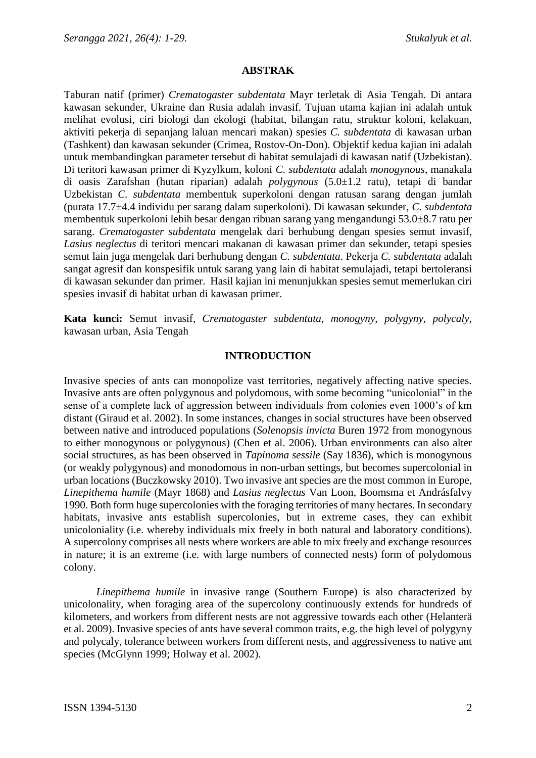#### **ABSTRAK**

Taburan natif (primer) *Crematogaster subdentata* Mayr terletak di Asia Tengah. Di antara kawasan sekunder, Ukraine dan Rusia adalah invasif. Tujuan utama kajian ini adalah untuk melihat evolusi, ciri biologi dan ekologi (habitat, bilangan ratu, struktur koloni, kelakuan, aktiviti pekerja di sepanjang laluan mencari makan) spesies *C. subdentata* di kawasan urban (Tashkent) dan kawasan sekunder (Crimea, Rostov-On-Don). Objektif kedua kajian ini adalah untuk membandingkan parameter tersebut di habitat semulajadi di kawasan natif (Uzbekistan). Di teritori kawasan primer di Kyzylkum, koloni *C. subdentata* adalah *monogynous*, manakala di oasis Zarafshan (hutan riparian) adalah *polygynous* (5.0±1.2 ratu), tetapi di bandar Uzbekistan *C. subdentata* membentuk superkoloni dengan ratusan sarang dengan jumlah (purata 17.7±4.4 individu per sarang dalam superkoloni). Di kawasan sekunder, *C. subdentata* membentuk superkoloni lebih besar dengan ribuan sarang yang mengandungi 53.0±8.7 ratu per sarang. *Crematogaster subdentata* mengelak dari berhubung dengan spesies semut invasif, *Lasius neglectus* di teritori mencari makanan di kawasan primer dan sekunder, tetapi spesies semut lain juga mengelak dari berhubung dengan *C. subdentata*. Pekerja *C. subdentata* adalah sangat agresif dan konspesifik untuk sarang yang lain di habitat semulajadi, tetapi bertoleransi di kawasan sekunder dan primer. Hasil kajian ini menunjukkan spesies semut memerlukan ciri spesies invasif di habitat urban di kawasan primer.

**Kata kunci:** Semut invasif, *Crematogaster subdentata*, *monogyny*, *polygyny, polycaly*, kawasan urban, Asia Tengah

#### **INTRODUCTION**

Invasive species of ants can monopolize vast territories, negatively affecting native species. Invasive ants are often polygynous and polydomous, with some becoming "unicolonial" in the sense of a complete lack of aggression between individuals from colonies even 1000's of km distant (Giraud et al. 2002). In some instances, changes in social structures have been observed between native and introduced populations (*Solenopsis invicta* Buren 1972 from monogynous to either monogynous or polygynous) (Chen et al. 2006). Urban environments can also alter social structures, as has been observed in *Tapinoma sessile* (Say 1836), which is monogynous (or weakly polygynous) and monodomous in non-urban settings, but becomes supercolonial in urban locations (Buczkowsky 2010). Two invasive ant species are the most common in Europe, *Linepithema humile* (Mayr 1868) and *Lasius neglectus* Van Loon, Boomsma et Andrásfalvy 1990. Both form huge supercolonies with the foraging territories of many hectares. In secondary habitats, invasive ants establish supercolonies, but in extreme cases, they can exhibit unicoloniality (i.e. whereby individuals mix freely in both natural and laboratory conditions). A supercolony comprises all nests where workers are able to mix freely and exchange resources in nature; it is an extreme (i.e. with large numbers of connected nests) form of polydomous colony.

*Linepithema humile* in invasive range (Southern Europe) is also characterized by unicolonality, when foraging area of the supercolony continuously extends for hundreds of kilometers, and workers from different nests are not aggressive towards each other (Helanterä et al. 2009). Invasive species of ants have several common traits, e.g. the high level of polygyny and polycaly, tolerance between workers from different nests, and aggressiveness to native ant species (McGlynn 1999; Holway et al. 2002).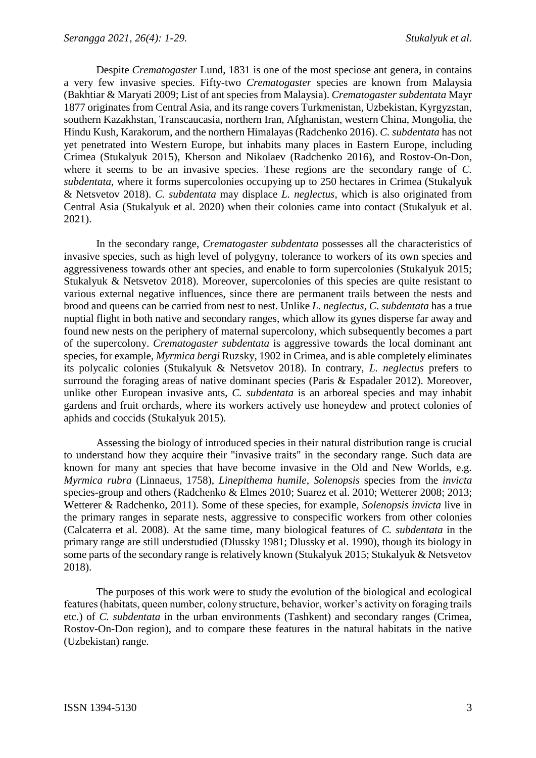Despite *Crematogaster* Lund, 1831 is one of the most speciose ant genera, in contains a very few invasive species. Fifty-two *Crematogaster* species are known from Malaysia (Bakhtiar & Maryati 2009; List of ant species from Malaysia). *Crematogaster subdentata* Mayr 1877 originates from Central Asia, and its range covers Turkmenistan, Uzbekistan, Kyrgyzstan, southern Kazakhstan, Transcaucasia, northern Iran, Afghanistan, western China, Mongolia, the Hindu Kush, Karakorum, and the northern Himalayas (Radchenko 2016). *C. subdentata* has not yet penetrated into Western Europe, but inhabits many places in Eastern Europe, including Crimea (Stukalyuk 2015), Kherson and Nikolaev (Radchenko 2016), and Rostov-On-Don, where it seems to be an invasive species. These regions are the secondary range of *C. subdentata*, where it forms supercolonies occupying up to 250 hectares in Crimea (Stukalyuk & Netsvetov 2018). *C. subdentata* may displace *L. neglectus*, which is also originated from Central Asia (Stukalyuk et al. 2020) when their colonies came into contact (Stukalyuk et al. 2021).

In the secondary range, *Crematogaster subdentata* possesses all the characteristics of invasive species, such as high level of polygyny, tolerance to workers of its own species and aggressiveness towards other ant species, and enable to form supercolonies (Stukalyuk 2015; Stukalyuk & Netsvetov 2018). Moreover, supercolonies of this species are quite resistant to various external negative influences, since there are permanent trails between the nests and brood and queens can be carried from nest to nest. Unlike *L. neglectus*, *C. subdentata* has a true nuptial flight in both native and secondary ranges, which allow its gynes disperse far away and found new nests on the periphery of maternal supercolony, which subsequently becomes a part of the supercolony. *Crematogaster subdentata* is aggressive towards the local dominant ant species, for example, *Myrmica bergi* Ruzsky, 1902 in Crimea, and is able completely eliminates its polycalic colonies (Stukalyuk & Netsvetov 2018). In contrary, *L. neglectus* prefers to surround the foraging areas of native dominant species (Paris & Espadaler 2012). Moreover, unlike other European invasive ants, *C. subdentata* is an arboreal species and may inhabit gardens and fruit orchards, where its workers actively use honeydew and protect colonies of aphids and coccids (Stukalyuk 2015).

Assessing the biology of introduced species in their natural distribution range is crucial to understand how they acquire their "invasive traits" in the secondary range. Such data are known for many ant species that have become invasive in the Old and New Worlds, e.g. *Myrmica rubra* (Linnaeus, 1758), *Linepithema humile*, *Solenopsis* species from the *invicta*  species-group and others (Radchenko & Elmes 2010; Suarez et al. 2010; Wetterer 2008; 2013; Wetterer & Radchenko, 2011). Some of these species, for example, *Solenopsis invicta* live in the primary ranges in separate nests, aggressive to conspecific workers from other colonies (Calcaterra et al. 2008). At the same time, many biological features of *C. subdentata* in the primary range are still understudied (Dlussky 1981; Dlussky et al. 1990), though its biology in some parts of the secondary range is relatively known (Stukalyuk 2015; Stukalyuk & Netsvetov 2018).

The purposes of this work were to study the evolution of the biological and ecological features (habitats, queen number, colony structure, behavior, worker's activity on foraging trails etc.) of *C. subdentata* in the urban environments (Tashkent) and secondary ranges (Crimea, Rostov-On-Don region), and to compare these features in the natural habitats in the native (Uzbekistan) range.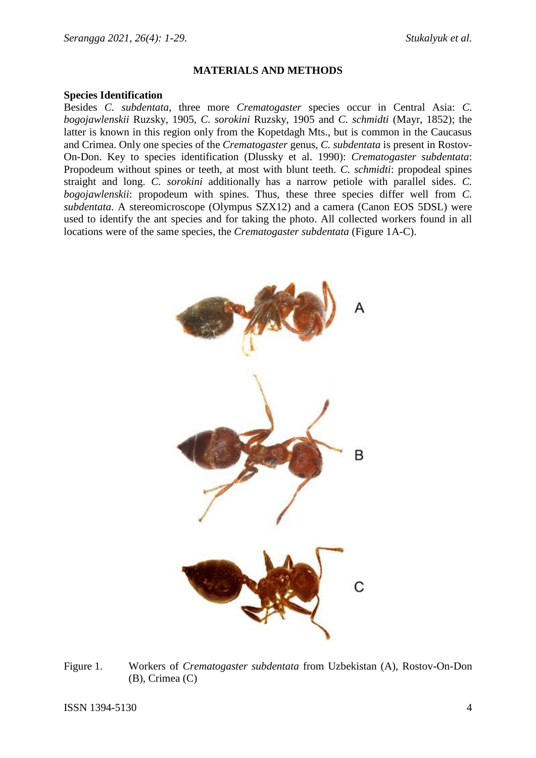#### **MATERIALS AND METHODS**

#### **Species Identification**

Besides *C. subdentata*, three more *Crematogaster* species occur in Central Asia: *C. bogojawlenskii* Ruzsky, 1905, *C. sorokini* Ruzsky, 1905 and *C. schmidti* (Mayr, 1852); the latter is known in this region only from the Kopetdagh Mts., but is common in the Caucasus and Crimea. Only one species of the *Crematogaster* genus, *C. subdentata* is present in Rostov-On-Don. Key to species identification (Dlussky et al. 1990): *Crematogaster subdentata*: Propodeum without spines or teeth, at most with blunt teeth. *C. schmidti*: propodeal spines straight and long. *C. sorokini* additionally has a narrow petiole with parallel sides. *C. bogojawlenskii*: propodeum with spines. Thus, these three species differ well from *C. subdentata*. A stereomicroscope (Olympus SZX12) and a camera (Canon EOS 5DSL) were used to identify the ant species and for taking the photo. All collected workers found in all locations were of the same species, the *Crematogaster subdentata* (Figure 1A-C).



Figure 1. Workers of *Crematogaster subdentata* from Uzbekistan (A), Rostov-On-Don (B), Crimea (C)

ISSN 1394-5130 4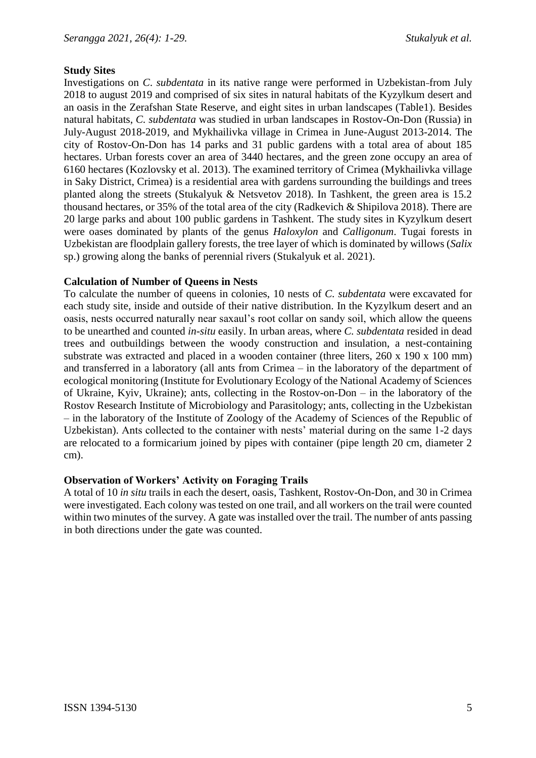# **Study Sites**

Investigations on *C*. *subdentata* in its native range were performed in Uzbekistan from July 2018 to august 2019 and comprised of six sites in natural habitats of the Kyzylkum desert and an oasis in the Zerafshan State Reserve, and eight sites in urban landscapes (Table1). Besides natural habitats, *C. subdentata* was studied in urban landscapes in Rostov-On-Don (Russia) in July-August 2018-2019, and Mykhailivka village in Crimea in June-August 2013-2014. The city of Rostov-On-Don has 14 parks and 31 public gardens with a total area of about 185 hectares. Urban forests cover an area of 3440 hectares, and the green zone occupy an area of 6160 hectares (Kozlovsky et al. 2013). The examined territory of Crimea (Mykhailivka village in Saky District, Crimea) is a residential area with gardens surrounding the buildings and trees planted along the streets (Stukalyuk & Netsvetov 2018). In Tashkent, the green area is 15.2 thousand hectares, or 35% of the total area of the city (Radkevich & Shipilova 2018). There are 20 large parks and about 100 public gardens in Tashkent. The study sites in Kyzylkum desert were oases dominated by plants of the genus *Haloxylon* and *Calligonum*. Tugai forests in Uzbekistan are floodplain gallery forests, the tree layer of which is dominated by willows (*Salix* sp.) growing along the banks of perennial rivers (Stukalyuk et al. 2021).

# **Calculation of Number of Queens in Nests**

To calculate the number of queens in colonies, 10 nests of *C. subdentata* were excavated for each study site, inside and outside of their native distribution. In the Kyzylkum desert and an oasis, nests occurred naturally near saxaul's root collar on sandy soil, which allow the queens to be unearthed and counted *in-situ* easily. In urban areas, where *C. subdentata* resided in dead trees and outbuildings between the woody construction and insulation, a nest-containing substrate was extracted and placed in a wooden container (three liters, 260 x 190 x 100 mm) and transferred in a laboratory (all ants from Crimea – in the laboratory of the department of ecological monitoring (Institute for Evolutionary Ecology of the National Academy of Sciences of Ukraine, Kyiv, Ukraine); ants, collecting in the Rostov-on-Don – in the laboratory of the Rostov Research Institute of Microbiology and Parasitology; ants, collecting in the Uzbekistan – in the laboratory of the Institute of Zoology of the Academy of Sciences of the Republic of Uzbekistan). Ants collected to the container with nests' material during on the same 1-2 days are relocated to a formicarium joined by pipes with container (pipe length 20 cm, diameter 2 cm).

## **Observation of Workers' Activity on Foraging Trails**

A total of 10 *in situ* trails in each the desert, oasis, Tashkent, Rostov-On-Don, and 30 in Crimea were investigated. Each colony was tested on one trail, and all workers on the trail were counted within two minutes of the survey. A gate was installed over the trail. The number of ants passing in both directions under the gate was counted.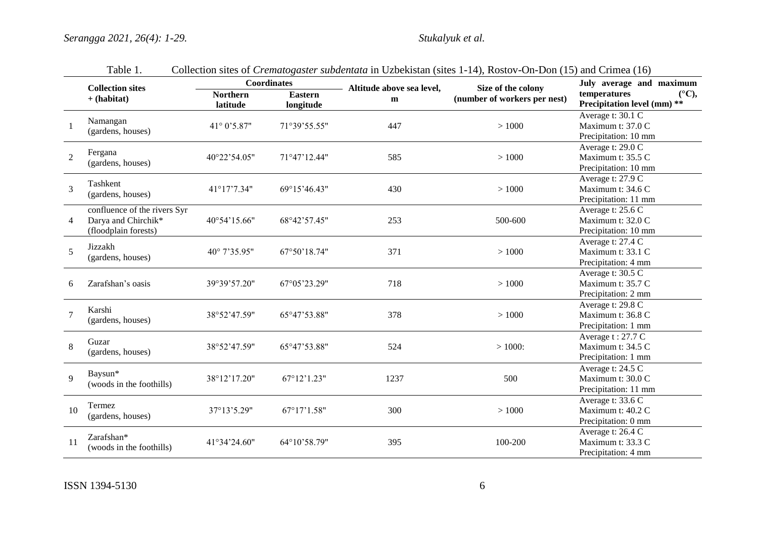|                | <b>Collection sites</b>                                                     |                             | <b>Coordinates</b>          | Altitude above sea level, | Size of the colony           | July average and maximum                                                    |
|----------------|-----------------------------------------------------------------------------|-----------------------------|-----------------------------|---------------------------|------------------------------|-----------------------------------------------------------------------------|
|                | $+$ (habitat)                                                               | <b>Northern</b><br>latitude | <b>Eastern</b><br>longitude | m                         | (number of workers per nest) | temperatures<br>$(^{\circ}C),$<br>Precipitation level (mm) **               |
|                | Namangan<br>(gardens, houses)                                               | 41° 0'5.87"                 | 71°39'55.55"                | 447                       | >1000                        | Average t: $30.1 \overline{C}$<br>Maximum t: 37.0 C<br>Precipitation: 10 mm |
| 2              | Fergana<br>(gardens, houses)                                                | 40°22'54.05"                | 71°47'12.44"                | 585                       | >1000                        | Average t: 29.0 C<br>Maximum t: 35.5 C<br>Precipitation: 10 mm              |
| $\overline{3}$ | Tashkent<br>(gardens, houses)                                               | 41°17'7.34"                 | 69°15'46.43"                | 430                       | >1000                        | Average t: 27.9 C<br>Maximum t: 34.6 C<br>Precipitation: 11 mm              |
| $\overline{4}$ | confluence of the rivers Syr<br>Darya and Chirchik*<br>(floodplain forests) | 40°54'15.66"                | 68°42'57.45"                | 253                       | 500-600                      | Average t: 25.6 C<br>Maximum t: 32.0 C<br>Precipitation: 10 mm              |
| 5              | Jizzakh<br>(gardens, houses)                                                | 40° 7'35.95"                | 67°50'18.74"                | 371                       | >1000                        | Average t: 27.4 C<br>Maximum t: 33.1 C<br>Precipitation: 4 mm               |
| 6              | Zarafshan's oasis                                                           | 39°39'57.20"                | 67°05'23.29"                | 718                       | >1000                        | Average t: $30.5 \overline{C}$<br>Maximum t: 35.7 C<br>Precipitation: 2 mm  |
|                | Karshi<br>(gardens, houses)                                                 | 38°52'47.59"                | 65°47'53.88"                | 378                       | >1000                        | Average t: 29.8 C<br>Maximum t: 36.8 C<br>Precipitation: 1 mm               |
| 8              | Guzar<br>(gardens, houses)                                                  | 38°52'47.59"                | 65°47'53.88"                | 524                       | $>1000$ :                    | Average t: 27.7 C<br>Maximum t: 34.5 C<br>Precipitation: 1 mm               |
| 9              | Baysun*<br>(woods in the foothills)                                         | 38°12'17.20"                | $67^{\circ}12'1.23"$        | 1237                      | 500                          | Average t: 24.5 C<br>Maximum t: 30.0 C<br>Precipitation: 11 mm              |
| 10             | Termez<br>(gardens, houses)                                                 | 37°13'5.29"                 | 67°17'1.58"                 | 300                       | >1000                        | Average t: 33.6 C<br>Maximum t: 40.2 C<br>Precipitation: 0 mm               |
| 11             | Zarafshan*<br>(woods in the foothills)                                      | 41°34'24.60"                | 64°10'58.79"                | 395                       | 100-200                      | Average t: 26.4 C<br>Maximum t: 33.3 C<br>Precipitation: 4 mm               |

|  | Table 1. |  |  |  |  | Collection sites of <i>Crematogaster subdentata</i> in Uzbekistan (sites 1-14), Rostov-On-Don (15) and Crimea (16) |
|--|----------|--|--|--|--|--------------------------------------------------------------------------------------------------------------------|
|--|----------|--|--|--|--|--------------------------------------------------------------------------------------------------------------------|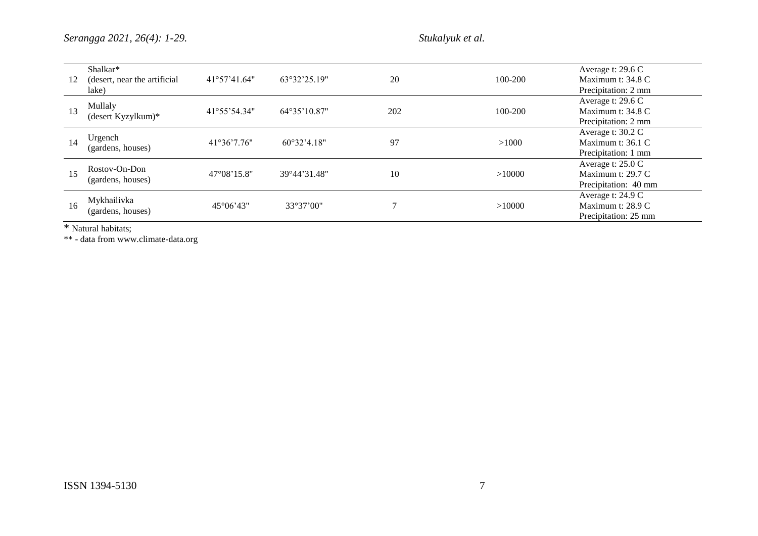*Serangga 2021, 26(4): 1-29. Stukalyuk et al.*

| 12 | Shalkar*<br>(desert, near the artificial<br>lake) | 41°57'41.64"         | 63°32'25.19" | 20              | 100-200 | Average t: 29.6 C<br>Maximum t: 34.8 C<br>Precipitation: 2 mm  |
|----|---------------------------------------------------|----------------------|--------------|-----------------|---------|----------------------------------------------------------------|
| 13 | Mullaly<br>(desert Kyzylkum)*                     | 41°55'54.34"         | 64°35'10.87" | 202             | 100-200 | Average t: 29.6 C<br>Maximum t: 34.8 C<br>Precipitation: 2 mm  |
| 14 | Urgench<br>(gardens, houses)                      | 41°36'7.76"          | 60°32'4.18"  | 97              | >1000   | Average t: 30.2 C<br>Maximum t: 36.1 C<br>Precipitation: 1 mm  |
| 15 | Rostov-On-Don<br>(gardens, houses)                | $47^{\circ}08'15.8"$ | 39°44'31.48" | 10              | >10000  | Average t: 25.0 C<br>Maximum t: 29.7 C<br>Precipitation: 40 mm |
| 16 | Mykhailivka<br>(gardens, houses)                  | $45^{\circ}06'43''$  | 33°37'00"    | $\mathbf{\tau}$ | >10000  | Average t: 24.9 C<br>Maximum t: 28.9 C<br>Precipitation: 25 mm |

\* Natural habitats;

\*\* - data from www.climate-data.org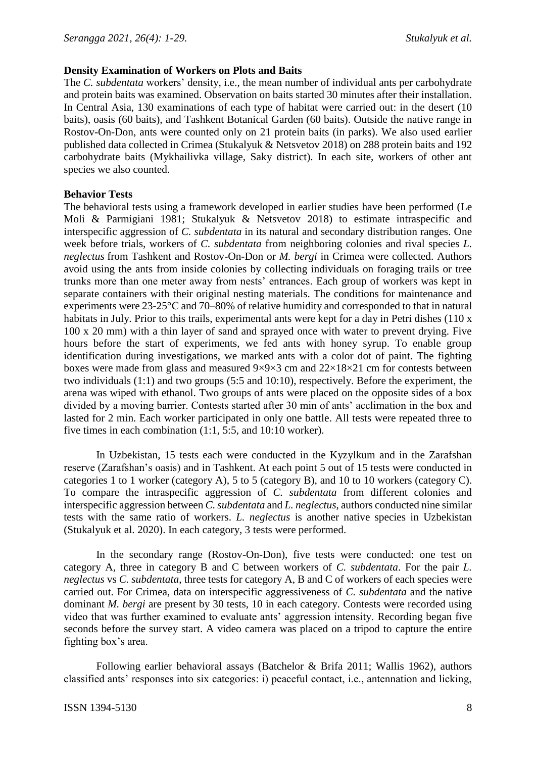# **Density Examination of Workers on Plots and Baits**

The *C. subdentata* workers' density, i.e., the mean number of individual ants per carbohydrate and protein baits was examined. Observation on baits started 30 minutes after their installation. In Central Asia, 130 examinations of each type of habitat were carried out: in the desert (10 baits), oasis (60 baits), and Tashkent Botanical Garden (60 baits). Outside the native range in Rostov-On-Don, ants were counted only on 21 protein baits (in parks). We also used earlier published data collected in Crimea (Stukalyuk & Netsvetov 2018) on 288 protein baits and 192 carbohydrate baits (Mykhailivka village, Saky district). In each site, workers of other ant species we also counted.

# **Behavior Tests**

The behavioral tests using a framework developed in earlier studies have been performed (Le Moli & Parmigiani 1981; Stukalyuk & Netsvetov 2018) to estimate intraspecific and interspecific aggression of *C. subdentata* in its natural and secondary distribution ranges. One week before trials, workers of *C. subdentata* from neighboring colonies and rival species *L. neglectus* from Tashkent and Rostov-On-Don or *M. bergi* in Crimea were collected. Authors avoid using the ants from inside colonies by collecting individuals on foraging trails or tree trunks more than one meter away from nests' entrances. Each group of workers was kept in separate containers with their original nesting materials. The conditions for maintenance and experiments were 23-25°С and 70–80% of relative humidity and corresponded to that in natural habitats in July. Prior to this trails, experimental ants were kept for a day in Petri dishes (110 x 100 x 20 mm) with a thin layer of sand and sprayed once with water to prevent drying. Five hours before the start of experiments, we fed ants with honey syrup. To enable group identification during investigations, we marked ants with a color dot of paint. The fighting boxes were made from glass and measured  $9\times9\times3$  cm and  $22\times18\times21$  cm for contests between two individuals (1:1) and two groups (5:5 and 10:10), respectively. Before the experiment, the arena was wiped with ethanol. Two groups of ants were placed on the opposite sides of a box divided by a moving barrier. Contests started after 30 min of ants' acclimation in the box and lasted for 2 min. Each worker participated in only one battle. All tests were repeated three to five times in each combination (1:1, 5:5, and 10:10 worker).

In Uzbekistan, 15 tests each were conducted in the Kyzylkum and in the Zarafshan reserve (Zarafshan's oasis) and in Tashkent. At each point 5 out of 15 tests were conducted in categories 1 to 1 worker (category A), 5 to 5 (category B), and 10 to 10 workers (category C). To compare the intraspecific aggression of *C. subdentata* from different colonies and interspecific aggression between *C. subdentata* and *L. neglectus*, authors conducted nine similar tests with the same ratio of workers. *L. neglectus* is another native species in Uzbekistan (Stukalyuk et al. 2020). In each category, 3 tests were performed.

In the secondary range (Rostov-On-Don), five tests were conducted: one test on category A, three in category B and C between workers of *C. subdentata*. For the pair *L. neglectus* vs *C. subdentata*, three tests for category A, B and C of workers of each species were carried out. For Crimea, data on interspecific aggressiveness of *C. subdentata* and the native dominant *M. bergi* are present by 30 tests, 10 in each category. Contests were recorded using video that was further examined to evaluate ants' aggression intensity. Recording began five seconds before the survey start. A video camera was placed on a tripod to capture the entire fighting box's area.

Following earlier behavioral assays (Batchelor & Brifa 2011; Wallis 1962), authors classified ants' responses into six categories: i) peaceful contact, i.e., antennation and licking,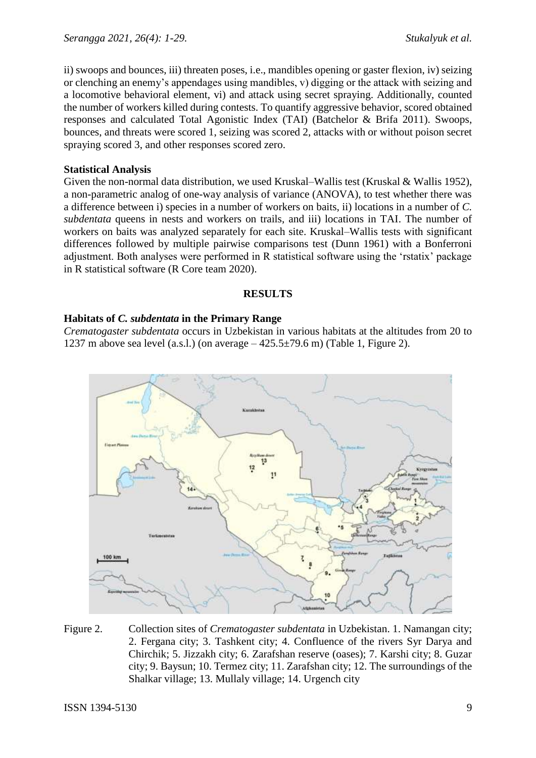ii) swoops and bounces, iii) threaten poses, i.e., mandibles opening or gaster flexion, iv) seizing or clenching an enemy's appendages using mandibles, v) digging or the attack with seizing and a locomotive behavioral element, vi) and attack using secret spraying. Additionally, counted the number of workers killed during contests. To quantify aggressive behavior, scored obtained responses and calculated Total Agonistic Index (TAI) (Batchelor & Brifa 2011). Swoops, bounces, and threats were scored 1, seizing was scored 2, attacks with or without poison secret spraying scored 3, and other responses scored zero.

# **Statistical Analysis**

Given the non-normal data distribution, we used Kruskal–Wallis test (Kruskal & Wallis 1952), a non-parametric analog of one-way analysis of variance (ANOVA), to test whether there was a difference between i) species in a number of workers on baits, ii) locations in a number of *C. subdentata* queens in nests and workers on trails, and iii) locations in TAI. The number of workers on baits was analyzed separately for each site. Kruskal–Wallis tests with significant differences followed by multiple pairwise comparisons test (Dunn 1961) with a Bonferroni adjustment. Both analyses were performed in R statistical software using the 'rstatix' package in R statistical software (R Core team 2020).

## **RESULTS**

# **Habitats of** *C. subdentata* **in the Primary Range**

*Crematogaster subdentata* occurs in Uzbekistan in various habitats at the altitudes from 20 to 1237 m above sea level (a.s.l.) (on average  $-425.5\pm79.6$  m) (Table 1, Figure 2).



Figure 2. Collection sites of *Crematogaster subdentata* in Uzbekistan. 1. Namangan city; 2. Fergana city; 3. Tashkent city; 4. Confluence of the rivers Syr Darya and Chirchik; 5. Jizzakh city; 6. Zarafshan reserve (oases); 7. Karshi city; 8. Guzar city; 9. Baysun; 10. Termez city; 11. Zarafshan city; 12. The surroundings of the Shalkar village; 13. Mullaly village; 14. Urgench city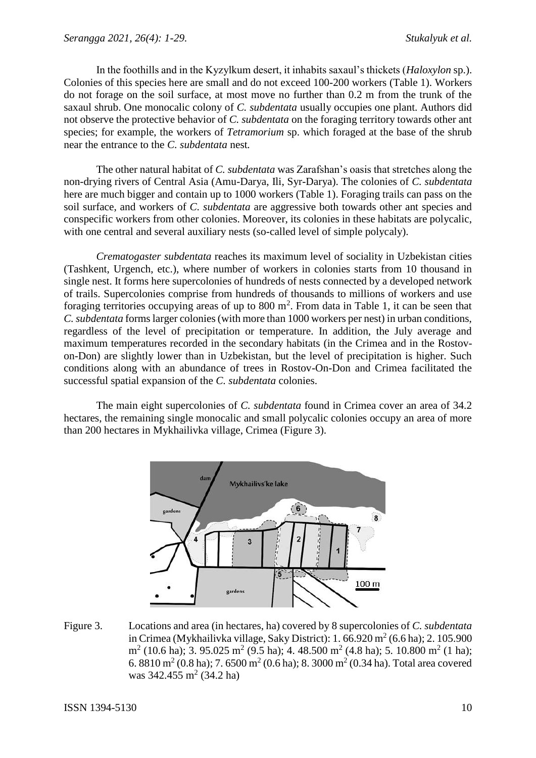In the foothills and in the Kyzylkum desert, it inhabits saxaul's thickets (*Haloxylon* sp.). Colonies of this species here are small and do not exceed 100-200 workers (Table 1). Workers do not forage on the soil surface, at most move no further than 0.2 m from the trunk of the saxaul shrub. One monocalic colony of *C. subdentata* usually occupies one plant. Authors did not observe the protective behavior of *C. subdentata* on the foraging territory towards other ant species; for example, the workers of *Tetramorium* sp. which foraged at the base of the shrub near the entrance to the *C. subdentata* nest*.*

The other natural habitat of *C. subdentata* was Zarafshan's oasis that stretches along the non-drying rivers of Central Asia (Amu-Darya, Ili, Syr-Darya). The colonies of *C. subdentata* here are much bigger and contain up to 1000 workers (Table 1). Foraging trails can pass on the soil surface, and workers of *C. subdentata* are aggressive both towards other ant species and conspecific workers from other colonies. Moreover, its colonies in these habitats are polycalic, with one central and several auxiliary nests (so-called level of simple polycaly).

*Crematogaster subdentata* reaches its maximum level of sociality in Uzbekistan cities (Tashkent, Urgench, etc.), where number of workers in colonies starts from 10 thousand in single nest. It forms here supercolonies of hundreds of nests connected by a developed network of trails. Supercolonies comprise from hundreds of thousands to millions of workers and use foraging territories occupying areas of up to  $800 \text{ m}^2$ . From data in Table 1, it can be seen that *C.subdentata* forms larger colonies (with more than 1000 workers per nest) in urban conditions, regardless of the level of precipitation or temperature. In addition, the July average and maximum temperatures recorded in the secondary habitats (in the Crimea and in the Rostovon-Don) are slightly lower than in Uzbekistan, but the level of precipitation is higher. Such conditions along with an abundance of trees in Rostov-On-Don and Crimea facilitated the successful spatial expansion of the *C. subdentata* colonies.

The main eight supercolonies of *C. subdentata* found in Crimea cover an area of 34.2 hectares, the remaining single monocalic and small polycalic colonies occupy an area of more than 200 hectares in Mykhailivka village, Crimea (Figure 3).



Figure 3. Locations and area (in hectares, ha) covered by 8 supercolonies of *C. subdentata* in Crimea (Mykhailivka village, Saky District): 1.  $66.920 \text{ m}^2 (6.6 \text{ ha})$ ; 2.  $105.900$  $m<sup>2</sup>$  (10.6 ha); 3. 95.025 m<sup>2</sup> (9.5 ha); 4. 48.500 m<sup>2</sup> (4.8 ha); 5. 10.800 m<sup>2</sup> (1 ha); 6. 8810 m<sup>2</sup> (0.8 ha); 7. 6500 m<sup>2</sup> (0.6 ha); 8. 3000 m<sup>2</sup> (0.34 ha). Total area covered was  $342.455 \text{ m}^2 (34.2 \text{ ha})$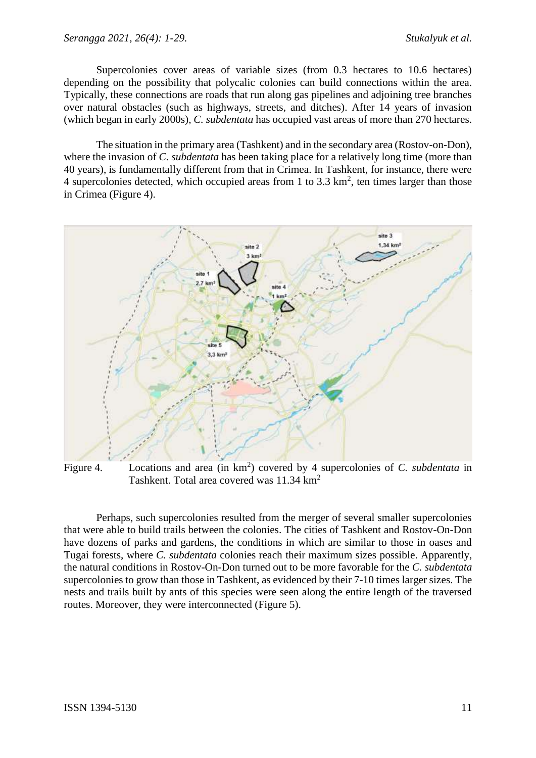Supercolonies cover areas of variable sizes (from 0.3 hectares to 10.6 hectares) depending on the possibility that polycalic colonies can build connections within the area. Typically, these connections are roads that run along gas pipelines and adjoining tree branches over natural obstacles (such as highways, streets, and ditches). After 14 years of invasion (which began in early 2000s), *C. subdentata* has occupied vast areas of more than 270 hectares.

The situation in the primary area (Tashkent) and in the secondary area (Rostov-on-Don), where the invasion of *C. subdentata* has been taking place for a relatively long time (more than 40 years), is fundamentally different from that in Crimea. In Tashkent, for instance, there were 4 supercolonies detected, which occupied areas from 1 to 3.3  $\text{km}^2$ , ten times larger than those in Crimea (Figure 4).



Figure 4. Locations and area (in  $km^2$ ) covered by 4 supercolonies of *C. subdentata* in Tashkent. Total area covered was 11.34 km<sup>2</sup>

Perhaps, such supercolonies resulted from the merger of several smaller supercolonies that were able to build trails between the colonies. The cities of Tashkent and Rostov-On-Don have dozens of parks and gardens, the conditions in which are similar to those in oases and Tugai forests, where *C. subdentata* colonies reach their maximum sizes possible. Apparently, the natural conditions in Rostov-On-Don turned out to be more favorable for the *C. subdentata* supercolonies to grow than those in Tashkent, as evidenced by their 7-10 times larger sizes. The nests and trails built by ants of this species were seen along the entire length of the traversed routes. Moreover, they were interconnected (Figure 5).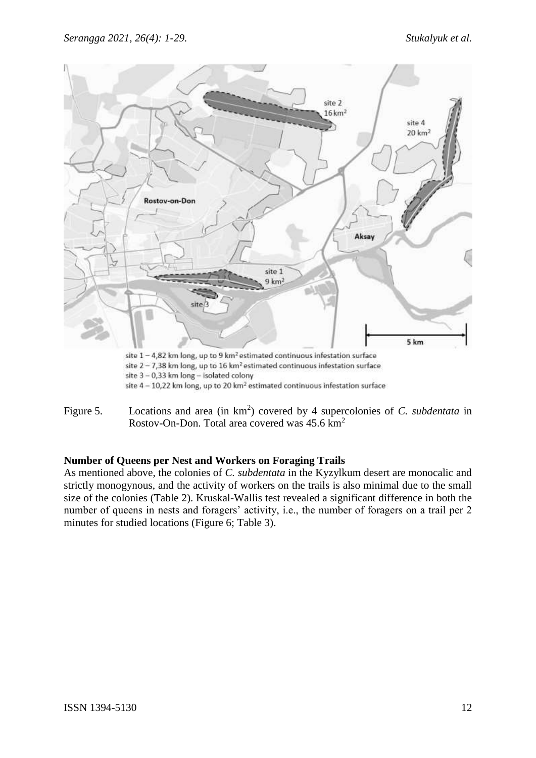

Figure 5. Locations and area (in  $km^2$ ) covered by 4 supercolonies of *C. subdentata* in Rostov-On-Don. Total area covered was  $45.6 \text{ km}^2$ 

# **Number of Queens per Nest and Workers on Foraging Trails**

As mentioned above, the colonies of *C. subdentata* in the Kyzylkum desert are monocalic and strictly monogynous, and the activity of workers on the trails is also minimal due to the small size of the colonies (Table 2). Kruskal-Wallis test revealed a significant difference in both the number of queens in nests and foragers' activity, i.e., the number of foragers on a trail per 2 minutes for studied locations (Figure 6; Table 3).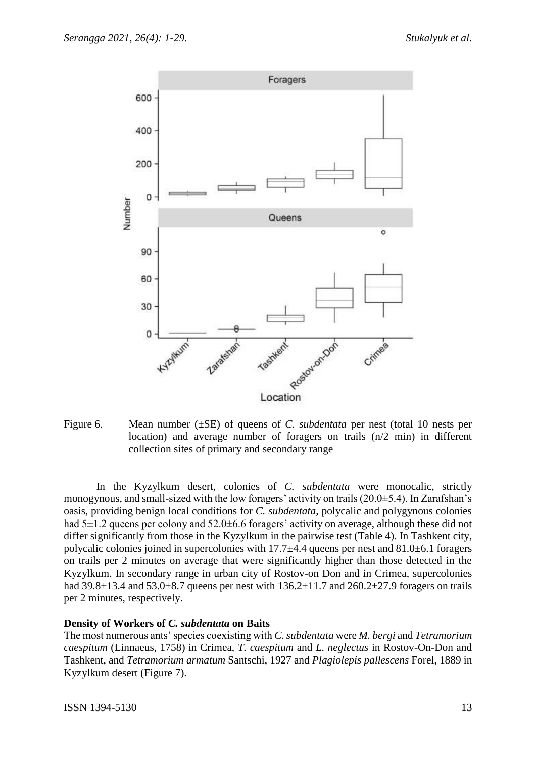

Figure 6. Mean number (±SE) of queens of *C. subdentata* per nest (total 10 nests per location) and average number of foragers on trails (n/2 min) in different collection sites of primary and secondary range

In the Kyzylkum desert, colonies of *C. subdentata* were monocalic, strictly monogynous, and small-sized with the low foragers' activity on trails (20.0±5.4). In Zarafshan's oasis, providing benign local conditions for *C. subdentata*, polycalic and polygynous colonies had 5 $\pm$ 1.2 queens per colony and 52.0 $\pm$ 6.6 foragers' activity on average, although these did not differ significantly from those in the Kyzylkum in the pairwise test (Table 4). In Tashkent city, polycalic colonies joined in supercolonies with 17.7±4.4 queens per nest and 81.0±6.1 foragers on trails per 2 minutes on average that were significantly higher than those detected in the Kyzylkum. In secondary range in urban city of Rostov-on Don and in Crimea, supercolonies had  $39.8\pm13.4$  and  $53.0\pm8.7$  queens per nest with  $136.2\pm11.7$  and  $260.2\pm27.9$  foragers on trails per 2 minutes, respectively.

## **Density of Workers of** *C. subdentata* **on Baits**

The most numerous ants' species coexisting with *C. subdentata* were *M. bergi* and *Tetramorium caespitum* (Linnaeus, 1758) in Crimea, *T. caespitum* and *L. neglectus* in Rostov-On-Don and Tashkent, and *Tetramorium armatum* Santschi, 1927 and *Plagiolepis pallescens* Forel, 1889 in Kyzylkum desert (Figure 7).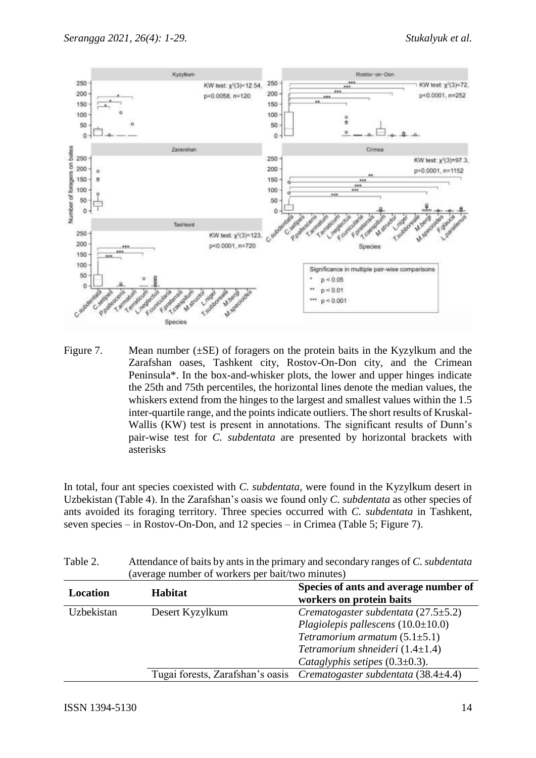

Figure 7. Mean number  $(\pm SE)$  of foragers on the protein baits in the Kyzylkum and the Zarafshan oases, Tashkent city, Rostov-On-Don city, and the Crimean Peninsula\*. In the box-and-whisker plots, the lower and upper hinges indicate the 25th and 75th percentiles, the horizontal lines denote the median values, the whiskers extend from the hinges to the largest and smallest values within the 1.5 inter-quartile range, and the points indicate outliers. The short results of Kruskal-Wallis (KW) test is present in annotations. The significant results of Dunn's pair-wise test for *C. subdentata* are presented by horizontal brackets with asterisks

In total, four ant species coexisted with *C. subdentata,* were found in the Kyzylkum desert in Uzbekistan (Table 4). In the Zarafshan's oasis we found only *C. subdentata* as other species of ants avoided its foraging territory. Three species occurred with *C. subdentata* in Tashkent, seven species – in Rostov-On-Don, and 12 species – in Crimea (Table 5; Figure 7).

| $1$ and $2$ . | (average number of workers per bait/two minutes) | Auchdance of bans by anis in the primary and secondary ranges of C. <i>subdentana</i> |
|---------------|--------------------------------------------------|---------------------------------------------------------------------------------------|
| Location      | <b>Habitat</b>                                   | Species of ants and average number of<br>workers on protein baits                     |
| Uzbekistan    | Desert Kyzylkum                                  | Crematogaster subdentata $(27.5 \pm 5.2)$                                             |
|               |                                                  | Plagiolepis pallescens $(10.0 \pm 10.0)$                                              |
|               |                                                  | Tetramorium armatum $(5.1 \pm 5.1)$                                                   |
|               |                                                  | Tetramorium shneideri $(1.4\pm1.4)$                                                   |
|               |                                                  | Cataglyphis setipes $(0.3\pm0.3)$ .                                                   |
|               | Tugai forests, Zarafshan's oasis                 | Crematogaster subdentata (38.4 $\pm$ 4.4)                                             |

|          | (average number of workers per bait/two minutes)                                 |
|----------|----------------------------------------------------------------------------------|
| Table 2. | Attendance of baits by ants in the primary and secondary ranges of C. subdentata |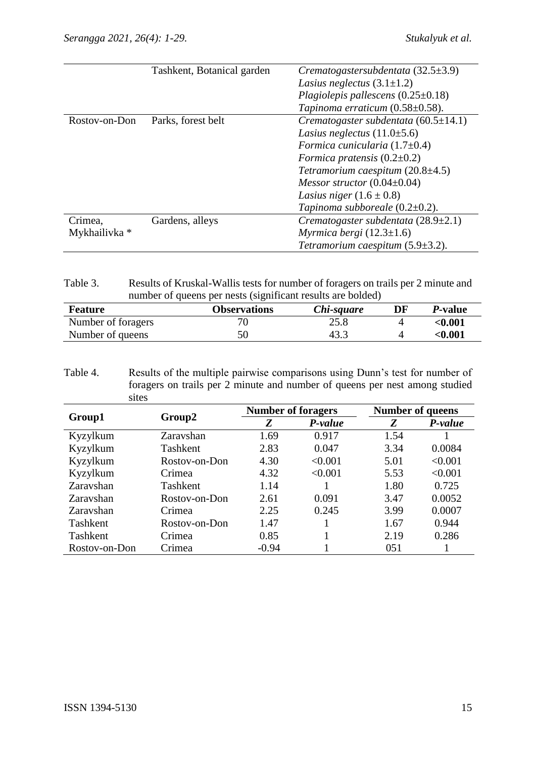|               | Tashkent, Botanical garden | Crematogastersubdentata $(32.5\pm3.9)$     |
|---------------|----------------------------|--------------------------------------------|
|               |                            | Lasius neglectus $(3.1\pm1.2)$             |
|               |                            | Plagiolepis pallescens $(0.25\pm0.18)$     |
|               |                            | Tapinoma erraticum $(0.58\pm0.58)$ .       |
| Rostov-on-Don | Parks, forest belt         | Crematogaster subdentata $(60.5 \pm 14.1)$ |
|               |                            | Lasius neglectus $(11.0\pm5.6)$            |
|               |                            | Formica cunicularia $(1.7\pm0.4)$          |
|               |                            | Formica pratensis $(0.2\pm0.2)$            |
|               |                            | Tetramorium caespitum $(20.8\pm4.5)$       |
|               |                            | Messor structor $(0.04\pm0.04)$            |
|               |                            | Lasius niger $(1.6 \pm 0.8)$               |
|               |                            | Tapinoma subboreale $(0.2\pm0.2)$ .        |
| Crimea,       | Gardens, alleys            | Crematogaster subdentata $(28.9 \pm 2.1)$  |
| Mykhailivka * |                            | Myrmica bergi $(12.3 \pm 1.6)$             |
|               |                            | Tetramorium caespitum $(5.9 \pm 3.2)$ .    |

Table 3. Results of Kruskal-Wallis tests for number of foragers on trails per 2 minute and number of queens per nests (significant results are bolded)

| Feature            | <b>Observations</b> | Chi-square | DF | <i>P</i> -value |
|--------------------|---------------------|------------|----|-----------------|
| Number of foragers |                     | 25.8       |    | $<\!\!0.001$    |
| Number of queens   | 50                  | 43.3       |    | $<\!\!0.001$    |

Table 4. Results of the multiple pairwise comparisons using Dunn's test for number of foragers on trails per 2 minute and number of queens per nest among studied sites

|               |               | <b>Number of foragers</b> |         | <b>Number of queens</b> |         |  |
|---------------|---------------|---------------------------|---------|-------------------------|---------|--|
| Group1        | Group2        | Z                         | P-value |                         | P-value |  |
| Kyzylkum      | Zaravshan     | 1.69                      | 0.917   | 1.54                    |         |  |
| Kyzylkum      | Tashkent      | 2.83                      | 0.047   | 3.34                    | 0.0084  |  |
| Kyzylkum      | Rostov-on-Don | 4.30                      | < 0.001 | 5.01                    | < 0.001 |  |
| Kyzylkum      | Crimea        | 4.32                      | < 0.001 | 5.53                    | < 0.001 |  |
| Zaravshan     | Tashkent      | 1.14                      |         | 1.80                    | 0.725   |  |
| Zaravshan     | Rostov-on-Don | 2.61                      | 0.091   | 3.47                    | 0.0052  |  |
| Zaravshan     | Crimea        | 2.25                      | 0.245   | 3.99                    | 0.0007  |  |
| Tashkent      | Rostov-on-Don | 1.47                      |         | 1.67                    | 0.944   |  |
| Tashkent      | Crimea        | 0.85                      |         | 2.19                    | 0.286   |  |
| Rostov-on-Don | Crimea        | $-0.94$                   |         | 051                     |         |  |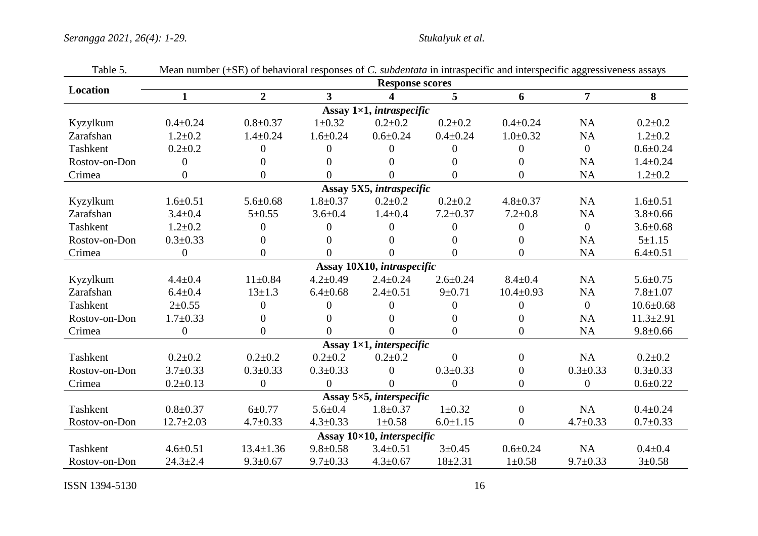| <b>Response scores</b> |                  |                 |                         |                                    |                |                  |                |                 |
|------------------------|------------------|-----------------|-------------------------|------------------------------------|----------------|------------------|----------------|-----------------|
| Location               | $\mathbf{1}$     | $\overline{2}$  | $\overline{\mathbf{3}}$ | 4                                  | 5              | 6                | $\overline{7}$ | 8               |
|                        |                  |                 |                         | Assay $1\times1$ , intraspecific   |                |                  |                |                 |
| Kyzylkum               | $0.4 \pm 0.24$   | $0.8 \pm 0.37$  | $1 \pm 0.32$            | $0.2+0.2$                          | $0.2 \pm 0.2$  | $0.4 \pm 0.24$   | <b>NA</b>      | $0.2 \pm 0.2$   |
| Zarafshan              | $1.2 \pm 0.2$    | $1.4 \pm 0.24$  | $1.6 \pm 0.24$          | $0.6 \pm 0.24$                     | $0.4 \pm 0.24$ | $1.0 \pm 0.32$   | <b>NA</b>      | $1.2 \pm 0.2$   |
| Tashkent               | $0.2 + 0.2$      | $\overline{0}$  | $\theta$                | 0                                  | $\theta$       | $\overline{0}$   | $\mathbf{0}$   | $0.6 \pm 0.24$  |
| Rostov-on-Don          | $\Omega$         | 0               | $\Omega$                | 0                                  | $\Omega$       | $\Omega$         | <b>NA</b>      | $1.4 \pm 0.24$  |
| Crimea                 | $\overline{0}$   | $\overline{0}$  | $\theta$                | 0                                  | $\theta$       | $\overline{0}$   | <b>NA</b>      | $1.2 + 0.2$     |
|                        |                  |                 |                         | Assay 5X5, intraspecific           |                |                  |                |                 |
| Kyzylkum               | $1.6 \pm 0.51$   | $5.6 \pm 0.68$  | $1.8 \pm 0.37$          | $0.2 \pm 0.2$                      | $0.2 + 0.2$    | $4.8 \pm 0.37$   | <b>NA</b>      | $1.6 \pm 0.51$  |
| Zarafshan              | $3.4 \pm 0.4$    | $5 \pm 0.55$    | $3.6 \pm 0.4$           | $1.4 \pm 0.4$                      | $7.2 \pm 0.37$ | $7.2 \pm 0.8$    | <b>NA</b>      | $3.8 \pm 0.66$  |
| Tashkent               | $1.2 \pm 0.2$    | 0               | $\Omega$                | 0                                  | $\Omega$       | $\overline{0}$   | $\overline{0}$ | $3.6 \pm 0.68$  |
| Rostov-on-Don          | $0.3 \pm 0.33$   | $\theta$        | $\Omega$                | 0                                  | $\Omega$       | $\overline{0}$   | <b>NA</b>      | $5 + 1.15$      |
| Crimea                 | $\boldsymbol{0}$ | $\overline{0}$  | $\theta$                | 0                                  | $\theta$       | $\boldsymbol{0}$ | NA             | $6.4 \pm 0.51$  |
|                        |                  |                 |                         | Assay 10X10, intraspecific         |                |                  |                |                 |
| Kyzylkum               | $4.4 \pm 0.4$    | $11 \pm 0.84$   | $4.2 \pm 0.49$          | $2.4 \pm 0.24$                     | $2.6 \pm 0.24$ | $8.4 \pm 0.4$    | <b>NA</b>      | $5.6 \pm 0.75$  |
| Zarafshan              | $6.4 \pm 0.4$    | $13 \pm 1.3$    | $6.4 \pm 0.68$          | $2.4 \pm 0.51$                     | $9 + 0.71$     | $10.4 \pm 0.93$  | NA             | $7.8 \pm 1.07$  |
| Tashkent               | $2+0.55$         | $\overline{0}$  | $\theta$                | 0                                  | $\theta$       | $\overline{0}$   | $\overline{0}$ | $10.6 \pm 0.68$ |
| Rostov-on-Don          | $1.7 \pm 0.33$   | 0               | $\Omega$                | $^{(1)}$                           | $\Omega$       | $\overline{0}$   | <b>NA</b>      | $11.3 \pm 2.91$ |
| Crimea                 | $\overline{0}$   | $\Omega$        | $\Omega$                | 0                                  | $\Omega$       | $\Omega$         | <b>NA</b>      | $9.8 \pm 0.66$  |
|                        |                  |                 |                         | Assay $1\times1$ , interspecific   |                |                  |                |                 |
| Tashkent               | $0.2 \pm 0.2$    | $0.2 \pm 0.2$   | $0.2 \pm 0.2$           | $0.2 \pm 0.2$                      | $\Omega$       | $\overline{0}$   | <b>NA</b>      | $0.2 \pm 0.2$   |
| Rostov-on-Don          | $3.7 \pm 0.33$   | $0.3 \pm 0.33$  | $0.3 \pm 0.33$          | $\overline{0}$                     | $0.3 \pm 0.33$ | $\boldsymbol{0}$ | $0.3 \pm 0.33$ | $0.3 \pm 0.33$  |
| Crimea                 | $0.2 \pm 0.13$   | $\overline{0}$  | $\Omega$                | 0                                  | $\theta$       | $\overline{0}$   | $\overline{0}$ | $0.6 + 0.22$    |
|                        |                  |                 |                         | Assay 5×5, interspecific           |                |                  |                |                 |
| Tashkent               | $0.8 + 0.37$     | $6 + 0.77$      | $5.6 \pm 0.4$           | $1.8 \pm 0.37$                     | $1 \pm 0.32$   | $\boldsymbol{0}$ | <b>NA</b>      | $0.4 \pm 0.24$  |
| Rostov-on-Don          | $12.7 \pm 2.03$  | $4.7 \pm 0.33$  | $4.3 \pm 0.33$          | $1 \pm 0.58$                       | $6.0 \pm 1.15$ | $\overline{0}$   | $4.7 \pm 0.33$ | $0.7 + 0.33$    |
|                        |                  |                 |                         | Assay $10\times10$ , interspecific |                |                  |                |                 |
| Tashkent               | $4.6 \pm 0.51$   | $13.4 \pm 1.36$ | $9.8 \pm 0.58$          | $3.4 \pm 0.51$                     | $3 \pm 0.45$   | $0.6 \pm 0.24$   | <b>NA</b>      | $0.4 + 0.4$     |
| Rostov-on-Don          | $24.3 \pm 2.4$   | $9.3 \pm 0.67$  | $9.7 \pm 0.33$          | $4.3 \pm 0.67$                     | $18 + 2.31$    | $1 \pm 0.58$     | $9.7 \pm 0.33$ | $3 + 0.58$      |

Table 5. Mean number (±SE) of behavioral responses of *C. subdentata* in intraspecific and interspecific aggressiveness assays

**ISSN** 1394-5130 16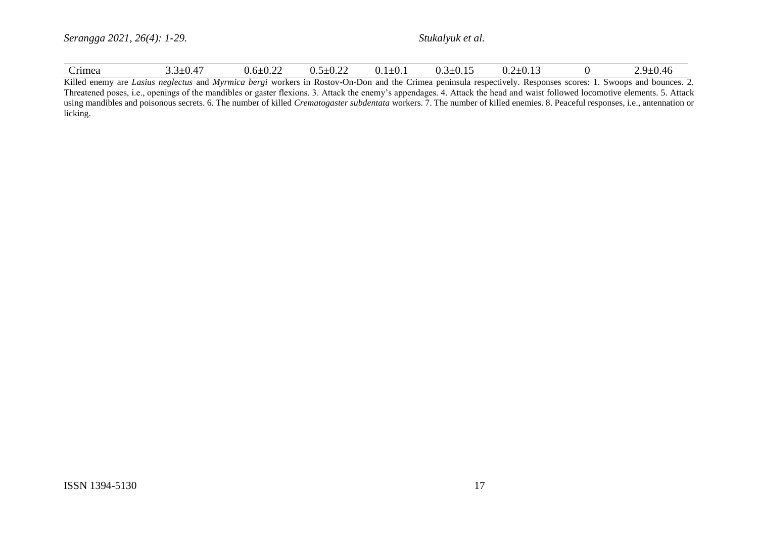| rimea<br><i>⊃.J∸</i> U.⊤7 | $\sim$<br>$0.6 \pm 0.22$<br>н і д. | $\sim$<br>$0.5 \pm 0.22$<br>$U.1 \perp U.$ | .<br>$\rightarrow$<br>$0.5 \pm 0.15$ | ت ⊔ .∪⊥<br>$\mathsf{v}.\mathsf{v}$ |  | : ⊔⊥י<br>$\sqrt{2}$<br>∪…י ט<br><u>.</u> |
|---------------------------|------------------------------------|--------------------------------------------|--------------------------------------|------------------------------------|--|------------------------------------------|
|---------------------------|------------------------------------|--------------------------------------------|--------------------------------------|------------------------------------|--|------------------------------------------|

Killed enemy are *Lasius neglectus* and *Myrmica bergi* workers in Rostov-On-Don and the Crimea peninsula respectively. Responses scores: 1. Swoops and bounces. 2. Threatened poses, i.e., openings of the mandibles or gaster flexions. 3. Attack the enemy's appendages. 4. Attack the head and waist followed locomotive elements. 5. Attack using mandibles and poisonous secrets. 6. The number of killed *Crematogaster subdentata* workers. 7. The number of killed enemies. 8. Peaceful responses, i.e., antennation or licking.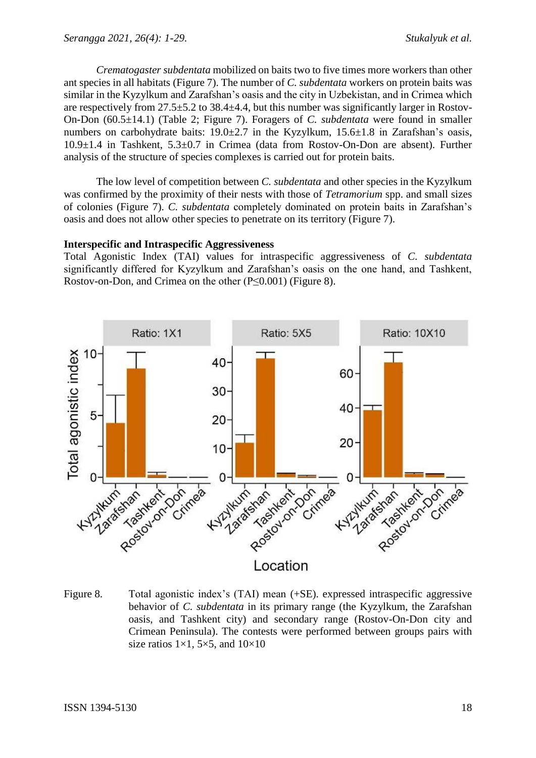*Crematogaster subdentata* mobilized on baits two to five times more workers than other ant species in all habitats (Figure 7). The number of *C. subdentata* workers on protein baits was similar in the Kyzylkum and Zarafshan's oasis and the city in Uzbekistan, and in Crimea which are respectively from 27.5±5.2 to 38.4±4.4, but this number was significantly larger in Rostov-On-Don (60.5±14.1) (Table 2; Figure 7). Foragers of *C. subdentata* were found in smaller numbers on carbohydrate baits: 19.0±2.7 in the Kyzylkum, 15.6±1.8 in Zarafshan's oasis, 10.9±1.4 in Tashkent, 5.3±0.7 in Crimea (data from Rostov-On-Don are absent). Further analysis of the structure of species complexes is carried out for protein baits.

The low level of competition between *C. subdentata* and other species in the Kyzylkum was confirmed by the proximity of their nests with those of *Tetramorium* spp. and small sizes of colonies (Figure 7). *C. subdentata* completely dominated on protein baits in Zarafshan's oasis and does not allow other species to penetrate on its territory (Figure 7).

## **Interspecific and Intraspecific Aggressiveness**

Total Agonistic Index (TAI) values for intraspecific aggressiveness of *C. subdentata*  significantly differed for Kyzylkum and Zarafshan's oasis on the one hand, and Tashkent, Rostov-on-Don, and Crimea on the other (P≤0.001) (Figure 8).



Figure 8. Total agonistic index's (TAI) mean (+SE). expressed intraspecific aggressive behavior of *C. subdentata* in its primary range (the Kyzylkum, the Zarafshan oasis, and Tashkent city) and secondary range (Rostov-On-Don city and Crimean Peninsula). The contests were performed between groups pairs with size ratios  $1\times1$ ,  $5\times5$ , and  $10\times10$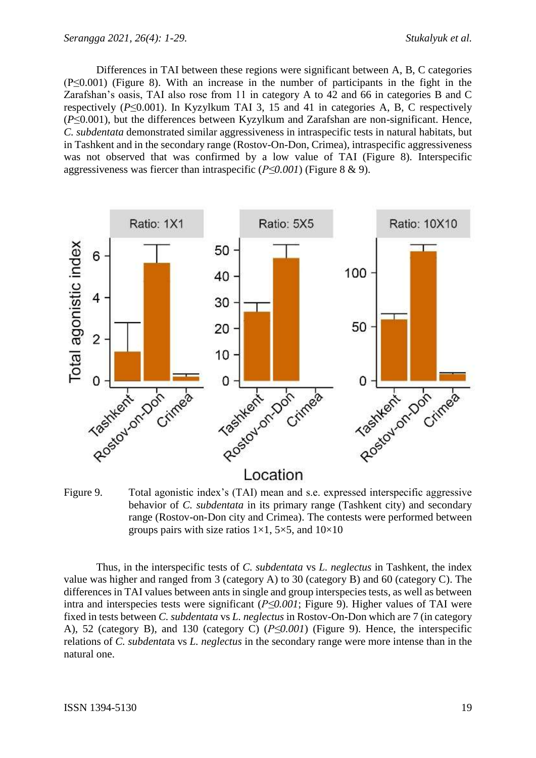Differences in TAI between these regions were significant between A, B, C categories (P≤0.001) (Figure 8). With an increase in the number of participants in the fight in the Zarafshan's oasis, TAI also rose from 11 in category A to 42 and 66 in categories B and C respectively (*P*≤0.001). In Kyzylkum TAI 3, 15 and 41 in categories A, B, C respectively (*P*≤0.001), but the differences between Kyzylkum and Zarafshan are non-significant. Hence, *C. subdentata* demonstrated similar aggressiveness in intraspecific tests in natural habitats, but in Tashkent and in the secondary range (Rostov-On-Don, Crimea), intraspecific aggressiveness was not observed that was confirmed by a low value of TAI (Figure 8). Interspecific aggressiveness was fiercer than intraspecific (*P≤0.001*) (Figure 8 & 9).



Figure 9. Total agonistic index's (TAI) mean and s.e. expressed interspecific aggressive behavior of *C. subdentata* in its primary range (Tashkent city) and secondary range (Rostov-on-Don city and Crimea). The contests were performed between groups pairs with size ratios  $1\times1$ ,  $5\times5$ , and  $10\times10$ 

Thus, in the interspecific tests of *C. subdentata* vs *L. neglectus* in Tashkent, the index value was higher and ranged from 3 (category A) to 30 (category B) and 60 (category C). The differences in TAI values between ants in single and group interspecies tests, as well as between intra and interspecies tests were significant (*P≤0.001*; Figure 9). Higher values of TAI were fixed in tests between *C. subdentata* vs *L. neglectus* in Rostov-On-Don which are 7 (in category A), 52 (category B), and 130 (category C) (*P≤0.001*) (Figure 9). Hence, the interspecific relations of *C. subdentat*a vs *L. neglectus* in the secondary range were more intense than in the natural one.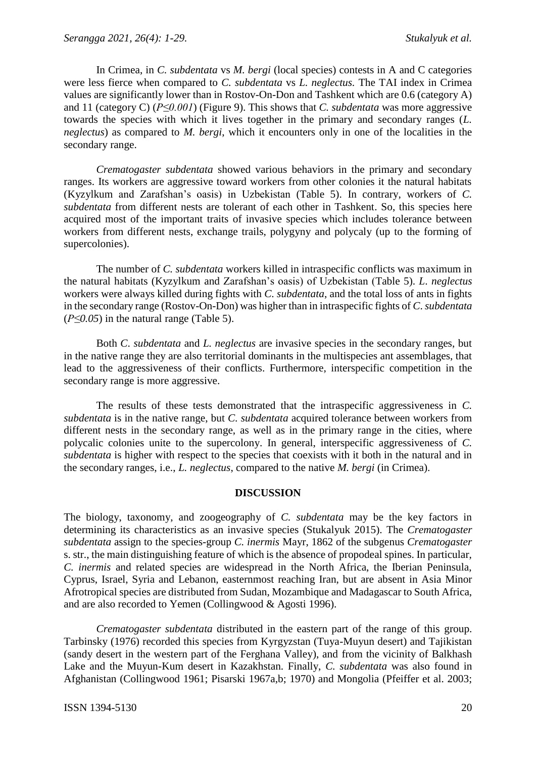In Crimea, in *C. subdentata* vs *M. bergi* (local species) contests in A and C categories were less fierce when compared to *C. subdentata* vs *L. neglectus.* The TAI index in Crimea values are significantly lower than in Rostov-On-Don and Tashkent which are 0.6 (category A) and 11 (category C) (*P≤0.001*) (Figure 9). This shows that *C. subdentata* was more aggressive towards the species with which it lives together in the primary and secondary ranges (*L. neglectus*) as compared to *M. bergi*, which it encounters only in one of the localities in the secondary range.

*Crematogaster subdentata* showed various behaviors in the primary and secondary ranges. Its workers are aggressive toward workers from other colonies it the natural habitats (Kyzylkum and Zarafshan's oasis) in Uzbekistan (Table 5). In contrary, workers of *C. subdentata* from different nests are tolerant of each other in Tashkent. So, this species here acquired most of the important traits of invasive species which includes tolerance between workers from different nests, exchange trails, polygyny and polycaly (up to the forming of supercolonies).

The number of *C. subdentata* workers killed in intraspecific conflicts was maximum in the natural habitats (Kyzylkum and Zarafshan's oasis) of Uzbekistan (Table 5). *L*. *neglectus* workers were always killed during fights with *C. subdentata*, and the total loss of ants in fights in the secondary range (Rostov-On-Don) was higher than in intraspecific fights of *C*. *subdentata* (*P≤0.05*) in the natural range (Table 5).

Both *C*. *subdentata* and *L. neglectus* are invasive species in the secondary ranges, but in the native range they are also territorial dominants in the multispecies ant assemblages, that lead to the aggressiveness of their conflicts. Furthermore, interspecific competition in the secondary range is more aggressive.

The results of these tests demonstrated that the intraspecific aggressiveness in *C. subdentata* is in the native range, but *C. subdentata* acquired tolerance between workers from different nests in the secondary range, as well as in the primary range in the cities, where polycalic colonies unite to the supercolony. In general, interspecific aggressiveness of *C. subdentata* is higher with respect to the species that coexists with it both in the natural and in the secondary ranges, i.e., *L. neglectus*, compared to the native *M. bergi* (in Crimea).

## **DISCUSSION**

The biology, taxonomy, and zoogeography of *C. subdentata* may be the key factors in determining its characteristics as an invasive species (Stukalyuk 2015). The *Crematogaster subdentata* assign to the species-group *C. inermis* Mayr, 1862 of the subgenus *Crematogaster*  s. str., the main distinguishing feature of which is the absence of propodeal spines. In particular, *C. inermis* and related species are widespread in the North Africa, the Iberian Peninsula, Cyprus, Israel, Syria and Lebanon, easternmost reaching Iran, but are absent in Asia Minor Afrotropical species are distributed from Sudan, Mozambique and Madagascar to South Africa, and are also recorded to Yemen (Collingwood & Agosti 1996).

*Crematogaster subdentata* distributed in the eastern part of the range of this group. Tarbinsky (1976) recorded this species from Kyrgyzstan (Tuya-Muyun desert) and Tajikistan (sandy desert in the western part of the Ferghana Valley), and from the vicinity of Balkhash Lake and the Muyun-Kum desert in Kazakhstan. Finally, *C. subdentata* was also found in Afghanistan (Collingwood 1961; Pisarski 1967a,b; 1970) and Mongolia (Pfeiffer et al. 2003;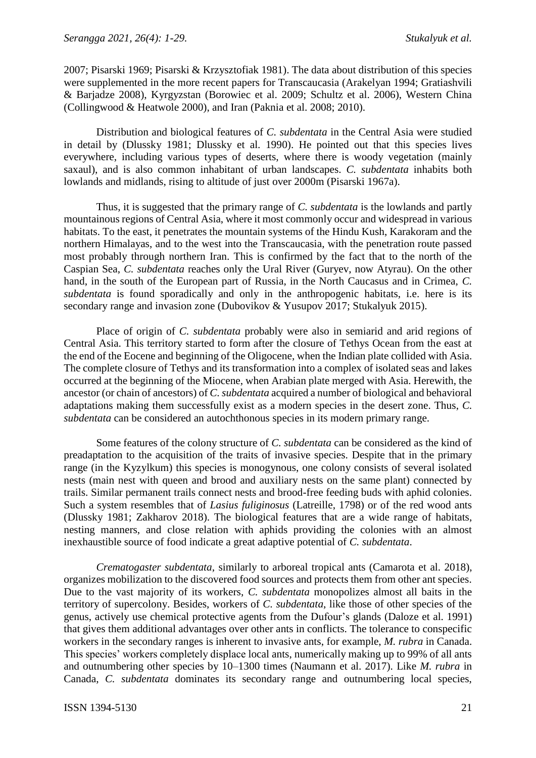2007; Pisarski 1969; Pisarski & Krzysztofiak 1981). The data about distribution of this species were supplemented in the more recent papers for Transcaucasia (Arakelyan 1994; Gratiashvili & Barjadze 2008), Kyrgyzstan (Borowiec et al. 2009; Schultz et al. 2006), Western China (Collingwood & Heatwole 2000), and Iran (Paknia et al. 2008; 2010).

Distribution and biological features of *C. subdentata* in the Central Asia were studied in detail by (Dlussky 1981; Dlussky et al. 1990). He pointed out that this species lives everywhere, including various types of deserts, where there is woody vegetation (mainly saxaul), and is also common inhabitant of urban landscapes. *C. subdentata* inhabits both lowlands and midlands, rising to altitude of just over 2000m (Pisarski 1967a).

Thus, it is suggested that the primary range of *C. subdentata* is the lowlands and partly mountainous regions of Central Asia, where it most commonly occur and widespread in various habitats. To the east, it penetrates the mountain systems of the Hindu Kush, Karakoram and the northern Himalayas, and to the west into the Transcaucasia, with the penetration route passed most probably through northern Iran. This is confirmed by the fact that to the north of the Caspian Sea, *C. subdentata* reaches only the Ural River (Guryev, now Atyrau). On the other hand, in the south of the European part of Russia, in the North Caucasus and in Crimea, *C. subdentata* is found sporadically and only in the anthropogenic habitats, i.e. here is its secondary range and invasion zone (Dubovikov & Yusupov 2017; Stukalyuk 2015).

Place of origin of *C. subdentata* probably were also in semiarid and arid regions of Central Asia. This territory started to form after the closure of Tethys Ocean from the east at the end of the Eocene and beginning of the Oligocene, when the Indian plate collided with Asia. The complete closure of Tethys and its transformation into a complex of isolated seas and lakes occurred at the beginning of the Miocene, when Arabian plate merged with Asia. Herewith, the ancestor (or chain of ancestors) of *C. subdentata* acquired a number of biological and behavioral adaptations making them successfully exist as a modern species in the desert zone. Thus, *C. subdentata* can be considered an autochthonous species in its modern primary range.

Some features of the colony structure of *C. subdentata* can be considered as the kind of preadaptation to the acquisition of the traits of invasive species. Despite that in the primary range (in the Kyzylkum) this species is monogynous, one colony consists of several isolated nests (main nest with queen and brood and auxiliary nests on the same plant) connected by trails. Similar permanent trails connect nests and brood-free feeding buds with aphid colonies. Such a system resembles that of *Lasius fuliginosus* (Latreille, 1798) or of the red wood ants (Dlussky 1981; Zakharov 2018). The biological features that are a wide range of habitats, nesting manners, and close relation with aphids providing the colonies with an almost inexhaustible source of food indicate a great adaptive potential of *C. subdentata*.

*Crematogaster subdentata*, similarly to arboreal tropical ants (Camarota et al. 2018), organizes mobilization to the discovered food sources and protects them from other ant species. Due to the vast majority of its workers, *C. subdentata* monopolizes almost all baits in the territory of supercolony. Besides, workers of *C. subdentata*, like those of other species of the genus, actively use chemical protective agents from the Dufour's glands (Daloze et al. 1991) that gives them additional advantages over other ants in conflicts. The tolerance to conspecific workers in the secondary ranges is inherent to invasive ants, for example, *M. rubra* in Canada. This species' workers completely displace local ants, numerically making up to 99% of all ants and outnumbering other species by 10–1300 times (Naumann et al. 2017). Like *M. rubra* in Canada, *C. subdentata* dominates its secondary range and outnumbering local species,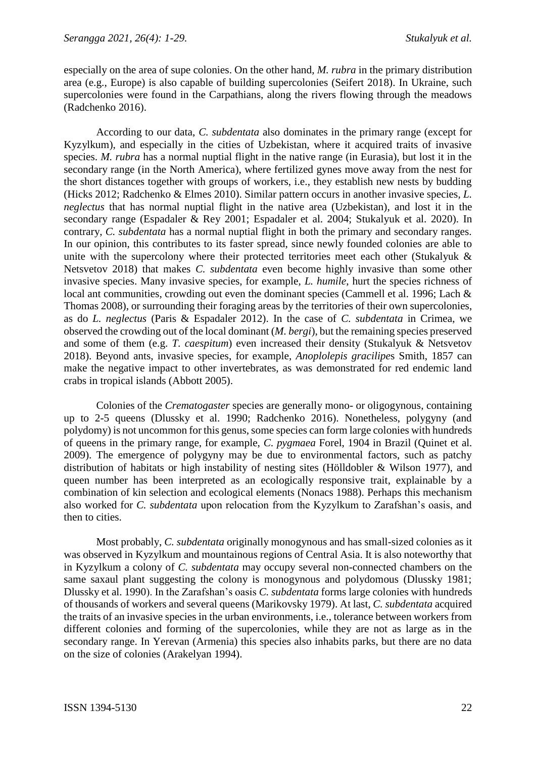especially on the area of supe colonies. On the other hand, *M. rubra* in the primary distribution area (e.g., Europe) is also capable of building supercolonies (Seifert 2018). In Ukraine, such supercolonies were found in the Carpathians, along the rivers flowing through the meadows (Radchenko 2016).

According to our data, *C. subdentata* also dominates in the primary range (except for Kyzylkum), and especially in the cities of Uzbekistan, where it acquired traits of invasive species. *M. rubra* has a normal nuptial flight in the native range (in Eurasia), but lost it in the secondary range (in the North America), where fertilized gynes move away from the nest for the short distances together with groups of workers, i.e., they establish new nests by budding (Hicks 2012; Radchenko & Elmes 2010). Similar pattern occurs in another invasive species, *L. neglectus* that has normal nuptial flight in the native area (Uzbekistan), and lost it in the secondary range (Espadaler & Rey 2001; Espadaler et al. 2004; Stukalyuk et al. 2020). In contrary, *C. subdentata* has a normal nuptial flight in both the primary and secondary ranges. In our opinion, this contributes to its faster spread, since newly founded colonies are able to unite with the supercolony where their protected territories meet each other (Stukalyuk & Netsvetov 2018) that makes *C. subdentata* even become highly invasive than some other invasive species. Many invasive species, for example, *L. humile*, hurt the species richness of local ant communities, crowding out even the dominant species (Cammell et al. 1996; Lach & Thomas 2008), or surrounding their foraging areas by the territories of their own supercolonies, as do *L. neglectus* (Paris & Espadaler 2012). In the case of *C. subdentata* in Crimea, we observed the crowding out of the local dominant (*M. bergi*), but the remaining species preserved and some of them (e.g. *T. caespitum*) even increased their density (Stukalyuk & Netsvetov 2018). Beyond ants, invasive species, for example, *Anoplolepis gracilipe*s Smith, 1857 can make the negative impact to other invertebrates, as was demonstrated for red endemic land crabs in tropical islands (Abbott 2005).

Colonies of the *Crematogaster* species are generally mono- or oligogynous, containing up to 2-5 queens (Dlussky et al. 1990; Radchenko 2016). Nonetheless, polygyny (and polydomy) is not uncommon for this genus, some species can form large colonies with hundreds of queens in the primary range, for example, *C. pygmaea* Forel, 1904 in Brazil (Quinet et al. 2009). The emergence of polygyny may be due to environmental factors, such as patchy distribution of habitats or high instability of nesting sites (Hölldobler & Wilson 1977), and queen number has been interpreted as an ecologically responsive trait, explainable by a combination of kin selection and ecological elements (Nonacs 1988). Perhaps this mechanism also worked for *C. subdentata* upon relocation from the Kyzylkum to Zarafshan's oasis, and then to cities.

Most probably, *C. subdentata* originally monogynous and has small-sized colonies as it was observed in Kyzylkum and mountainous regions of Central Asia. It is also noteworthy that in Kyzylkum a colony of *C. subdentata* may occupy several non-connected chambers on the same saxaul plant suggesting the colony is monogynous and polydomous (Dlussky 1981; Dlussky et al. 1990). In the Zarafshan's oasis *C. subdentata* forms large colonies with hundreds of thousands of workers and several queens (Marikovsky 1979). At last, *C. subdentata* acquired the traits of an invasive species in the urban environments, i.e., tolerance between workers from different colonies and forming of the supercolonies, while they are not as large as in the secondary range. In Yerevan (Armenia) this species also inhabits parks, but there are no data on the size of colonies (Arakelyan 1994).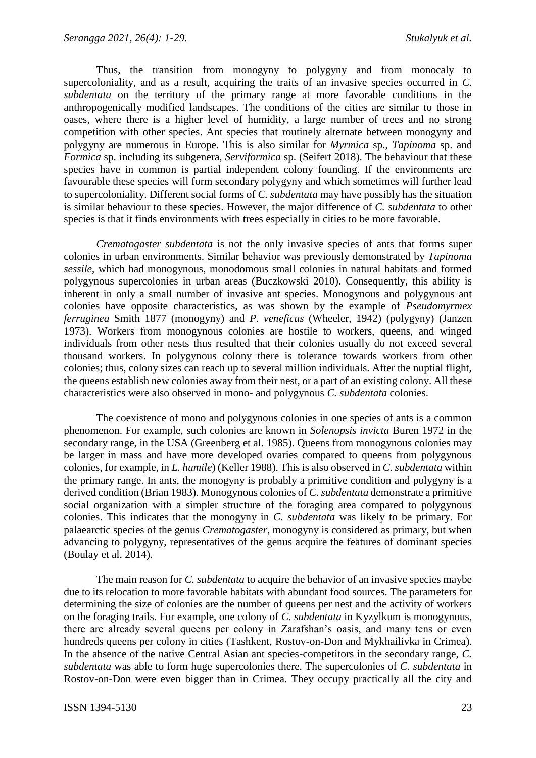Thus, the transition from monogyny to polygyny and from monocaly to supercoloniality, and as a result, acquiring the traits of an invasive species occurred in *C. subdentata* on the territory of the primary range at more favorable conditions in the anthropogenically modified landscapes. The conditions of the cities are similar to those in oases, where there is a higher level of humidity, a large number of trees and no strong competition with other species. Ant species that routinely alternate between monogyny and polygyny are numerous in Europe. This is also similar for *Myrmica* sp., *Tapinoma* sp. and *Formica* sp. including its subgenera, *Serviformica* sp. (Seifert 2018). The behaviour that these species have in common is partial independent colony founding. If the environments are favourable these species will form secondary polygyny and which sometimes will further lead to supercoloniality. Different social forms of *C. subdentata* may have possibly has the situation is similar behaviour to these species. However, the major difference of *C. subdentata* to other species is that it finds environments with trees especially in cities to be more favorable.

*Crematogaster subdentata* is not the only invasive species of ants that forms super colonies in urban environments. Similar behavior was previously demonstrated by *Tapinoma sessile*, which had monogynous, monodomous small colonies in natural habitats and formed polygynous supercolonies in urban areas (Buczkowski 2010). Consequently, this ability is inherent in only a small number of invasive ant species. Monogynous and polygynous ant colonies have opposite characteristics, as was shown by the example of *Pseudomyrmex ferruginea* Smith 1877 (monogyny) and *P. veneficus* (Wheeler, 1942) (polygyny) (Janzen 1973). Workers from monogynous colonies are hostile to workers, queens, and winged individuals from other nests thus resulted that their colonies usually do not exceed several thousand workers. In polygynous colony there is tolerance towards workers from other colonies; thus, colony sizes can reach up to several million individuals. After the nuptial flight, the queens establish new colonies away from their nest, or a part of an existing colony. All these characteristics were also observed in mono- and polygynous *C. subdentata* colonies.

The coexistence of mono and polygynous colonies in one species of ants is a common phenomenon. For example, such colonies are known in *Solenopsis invicta* Buren 1972 in the secondary range, in the USA (Greenberg et al. 1985). Queens from monogynous colonies may be larger in mass and have more developed ovaries compared to queens from polygynous colonies, for example, in *L. humile*) (Keller 1988). This is also observed in *C. subdentata* within the primary range. In ants, the monogyny is probably a primitive condition and polygyny is a derived condition (Brian 1983). Monogynous colonies of *C. subdentata* demonstrate a primitive social organization with a simpler structure of the foraging area compared to polygynous colonies. This indicates that the monogyny in *C. subdentata* was likely to be primary. For palaearctic species of the genus *Crematogaster*, monogyny is considered as primary, but when advancing to polygyny, representatives of the genus acquire the features of dominant species (Boulay et al. 2014).

The main reason for *C. subdentata* to acquire the behavior of an invasive species maybe due to its relocation to more favorable habitats with abundant food sources. The parameters for determining the size of colonies are the number of queens per nest and the activity of workers on the foraging trails. For example, one colony of *C. subdentata* in Kyzylkum is monogynous, there are already several queens per colony in Zarafshan's oasis, and many tens or even hundreds queens per colony in cities (Tashkent, Rostov-on-Don and Mykhailivka in Crimea). In the absence of the native Central Asian ant species-competitors in the secondary range, *C. subdentata* was able to form huge supercolonies there. The supercolonies of *C. subdentata* in Rostov-on-Don were even bigger than in Crimea. They occupy practically all the city and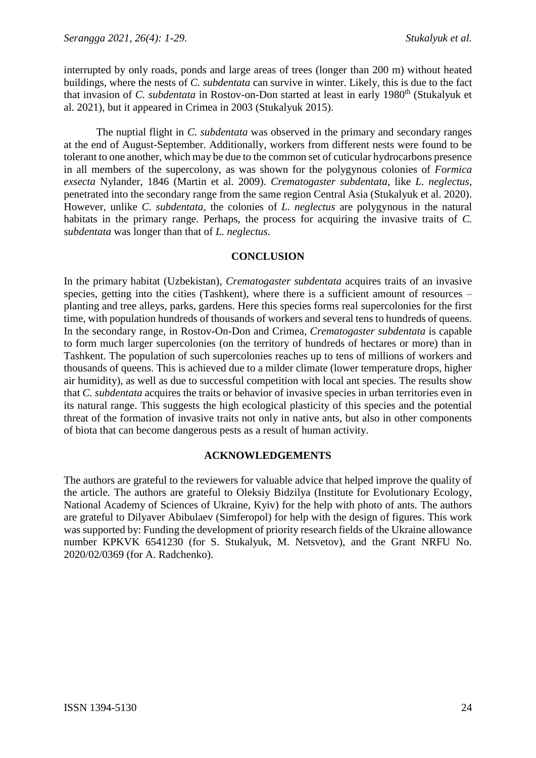interrupted by only roads, ponds and large areas of trees (longer than 200 m) without heated buildings, where the nests of *C. subdentata* can survive in winter. Likely, this is due to the fact that invasion of *C. subdentata* in Rostov-on-Don started at least in early 1980<sup>th</sup> (Stukalyuk et al. 2021), but it appeared in Crimea in 2003 (Stukalyuk 2015).

The nuptial flight in *C. subdentata* was observed in the primary and secondary ranges at the end of August-September. Additionally, workers from different nests were found to be tolerant to one another, which may be due to the common set of cuticular hydrocarbons presence in all members of the supercolony, as was shown for the polygynous colonies of *Formica exsecta* Nylander, 1846 (Martin et al. 2009). *Crematogaster subdentata*, like *L. neglectus*, penetrated into the secondary range from the same region Central Asia (Stukalyuk et al. 2020). However, unlike *C. subdentata*, the colonies of *L. neglectus* are polygynous in the natural habitats in the primary range. Perhaps, the process for acquiring the invasive traits of *C. subdentata* was longer than that of *L. neglectus.*

# **CONCLUSION**

In the primary habitat (Uzbekistan), *Crematogaster subdentata* acquires traits of an invasive species, getting into the cities (Tashkent), where there is a sufficient amount of resources – planting and tree alleys, parks, gardens. Here this species forms real supercolonies for the first time, with population hundreds of thousands of workers and several tens to hundreds of queens. In the secondary range, in Rostov-On-Don and Crimea, *Crematogaster subdentata* is capable to form much larger supercolonies (on the territory of hundreds of hectares or more) than in Tashkent. The population of such supercolonies reaches up to tens of millions of workers and thousands of queens. This is achieved due to a milder climate (lower temperature drops, higher air humidity), as well as due to successful competition with local ant species. The results show that *C. subdentata* acquires the traits or behavior of invasive species in urban territories even in its natural range. This suggests the high ecological plasticity of this species and the potential threat of the formation of invasive traits not only in native ants, but also in other components of biota that can become dangerous pests as a result of human activity.

# **ACKNOWLEDGEMENTS**

The authors are grateful to the reviewers for valuable advice that helped improve the quality of the article. The authors are grateful to Oleksiy Bidzilya (Institute for Evolutionary Ecology, National Academy of Sciences of Ukraine, Kyiv) for the help with photo of ants. The authors are grateful to Dilyaver Abibulaev (Simferopol) for help with the design of figures. This work was supported by: Funding the development of priority research fields of the Ukraine allowance number KPKVK 6541230 (for S. Stukalyuk, M. Netsvetov), and the Grant NRFU No. 2020/02/0369 (for A. Radchenko).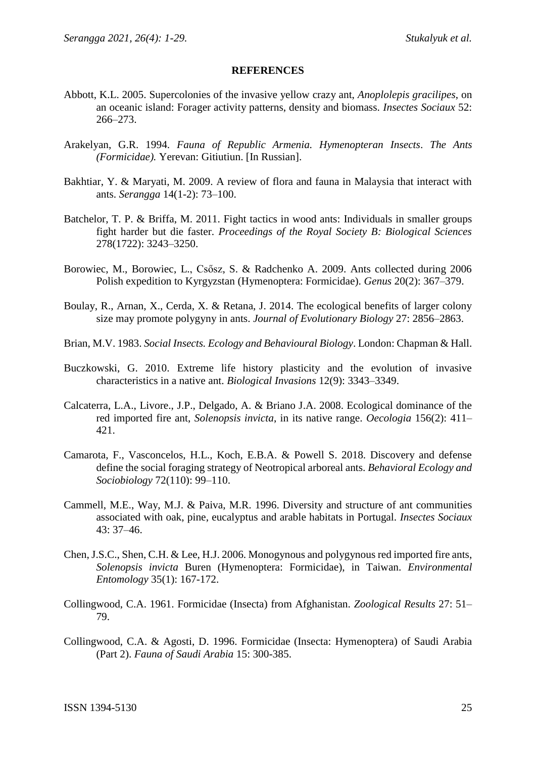#### **REFERENCES**

- Abbott, K.L. 2005. Supercolonies of the invasive yellow crazy ant, *Anoplolepis gracilipes*, on an oceanic island: Forager activity patterns, density and biomass. *Insectes Sociaux* 52: 266–273.
- Arakelyan, G.R. 1994. *Fauna of Republic Armenia. Hymenopteran Insects*. *The Ants (Formicidae).* Yerevan: Gitiutiun. [In Russian].
- Bakhtiar, Y. & Maryati, M. 2009. A review of flora and fauna in Malaysia that interact with ants. *Serangga* 14(1-2): 73–100.
- Batchelor, T. P. & Briffa, M. 2011. Fight tactics in wood ants: Individuals in smaller groups fight harder but die faster. *Proceedings of the Royal Society B: Biological Sciences* 278(1722): 3243–3250.
- Borowiec, M., Borowiec, L., Csősz, S. & Radchenko A. 2009. Ants collected during 2006 Polish expedition to Kyrgyzstan (Hymenoptera: Formicidae). *Genus* 20(2): 367–379.
- Boulay, R., Arnan, X., Cerda, X. & Retana, J. 2014. The ecological benefits of larger colony size may promote polygyny in ants. *Journal of Evolutionary Biology* 27: 2856–2863.
- Brian, M.V. 1983. *Social Insects. Ecology and Behavioural Biology*. London: Chapman & Hall.
- Buczkowski, G. 2010. Extreme life history plasticity and the evolution of invasive characteristics in a native ant. *Biological Invasions* 12(9): 3343–3349.
- Calcaterra, L.A., Livore., J.P., Delgado, A. & Briano J.A. 2008. Ecological dominance of the red imported fire ant, *Solenopsis invicta*, in its native range. *Oecologia* 156(2): 411– 421.
- Camarota, F., Vasconcelos, H.L., Koch, E.B.A. & Powell S. 2018. Discovery and defense define the social foraging strategy of Neotropical arboreal ants. *Behavioral Ecology and Sociobiology* 72(110): 99–110.
- Cammell, M.E., Way, M.J. & Paiva, M.R. 1996. Diversity and structure of ant communities associated with oak, pine, eucalyptus and arable habitats in Portugal. *Insectes Sociaux* 43: 37–46.
- Chen, J.S.C., Shen, C.H. & Lee, H.J. 2006. Monogynous and polygynous red imported fire ants, *Solenopsis invicta* Buren (Hymenoptera: Formicidae), in Taiwan. *Environmental Entomology* 35(1): 167-172.
- Collingwood, C.A. 1961. Formicidae (Insecta) from Afghanistan. *Zoological Results* 27: 51– 79.
- Collingwood, C.A. & Agosti, D. 1996. Formicidae (Insecta: Hymenoptera) of Saudi Arabia (Part 2). *Fauna of Saudi Arabia* 15: 300-385.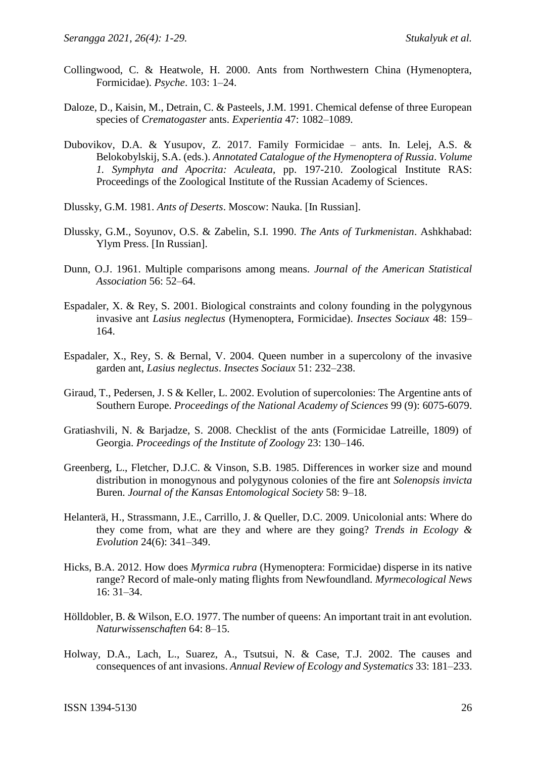- Collingwood, C. & Heatwole, H. 2000. Ants from Northwestern China (Hymenoptera, Formicidae). *Psyche*. 103: 1–24.
- Daloze, D., Kaisin, M., Detrain, C. & Pasteels, J.M. 1991. Chemical defense of three European species of *Crematogaster* ants. *Experientia* 47: 1082–1089.
- Dubovikov, D.A. & Yusupov, Z. 2017. Family Formicidae ants. In. Lelej, A.S. & Belokobylskij, S.A. (eds.). *Annotated Catalogue of the Hymenoptera of Russia*. *Volume 1. Symphyta and Apocrita: Aculeata*, pp. 197-210. Zoological Institute RAS: Proceedings of the Zoological Institute of the Russian Academy of Sciences.
- Dlussky, G.M. 1981. *Ants of Deserts*. Moscow: Nauka. [In Russian].
- Dlussky, G.M., Soyunov, O.S. & Zabelin, S.I. 1990. *The Ants of Turkmenistan*. Ashkhabad: Ylym Press. [In Russian].
- Dunn, O.J. 1961. Multiple comparisons among means. *Journal of the American Statistical Association* 56: 52–64.
- Espadaler, X. & Rey, S. 2001. Biological constraints and colony founding in the polygynous invasive ant *Lasius neglectus* (Hymenoptera, Formicidae). *Insectes Sociaux* 48: 159– 164.
- Espadaler, X., Rey, S. & Bernal, V. 2004. Queen number in a supercolony of the invasive garden ant, *Lasius neglectus*. *Insectes Sociaux* 51: 232–238.
- Giraud, T., Pedersen, J. S & Keller, L. 2002. Evolution of supercolonies: The Argentine ants of Southern Europe. *Proceedings of the National Academy of Sciences* 99 (9): 6075-6079.
- Gratiashvili, N. & Barjadze, S. 2008. Checklist of the ants (Formicidae Latreille, 1809) of Georgia. *Proceedings of the Institute of Zoology* 23: 130–146.
- Greenberg, L., Fletcher, D.J.C. & Vinson, S.B. 1985. Differences in worker size and mound distribution in monogynous and polygynous colonies of the fire ant *Solenopsis invicta* Buren. *Journal of the Kansas Entomological Society* 58: 9–18.
- Helanterä, H., Strassmann, J.E., Carrillo, J. & Queller, D.C. 2009. Unicolonial ants: Where do they come from, what are they and where are they going? *Trends in Ecology & Evolution* 24(6): 341–349.
- Hicks, B.A. 2012. How does *Myrmica rubra* (Hymenoptera: Formicidae) disperse in its native range? Record of male-only mating flights from Newfoundland. *Myrmecological News* 16: 31–34.
- Hölldobler, B. & Wilson, E.O. 1977. The number of queens: An important trait in ant evolution. *Naturwissenschaften* 64: 8–15.
- Holway, D.A., Lach, L., Suarez, A., Tsutsui, N. & Case, T.J. 2002. The causes and consequences of ant invasions. *Annual Review of Ecology and Systematics* 33: 181–233.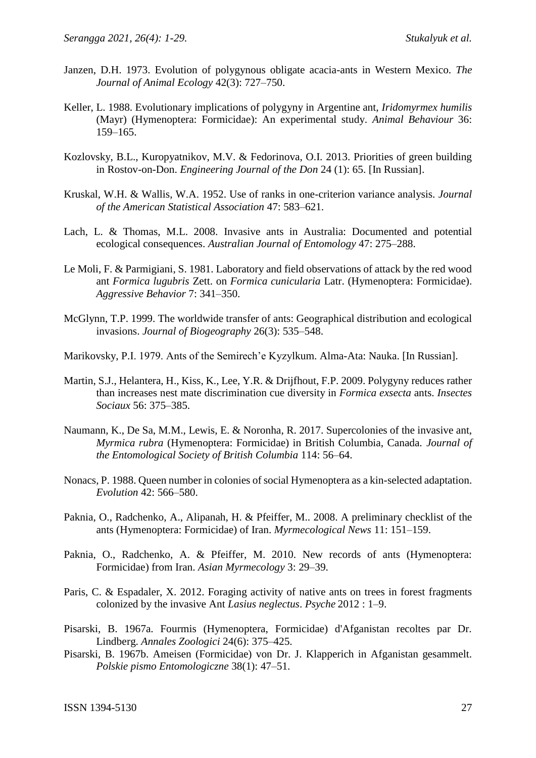- Janzen, D.H. 1973. Evolution of polygynous obligate acacia-ants in Western Mexico. *The Journal of Animal Ecology* 42(3): 727–750.
- Keller, L. 1988. Evolutionary implications of polygyny in Argentine ant, *Iridomyrmex humilis* (Mayr) (Hymenoptera: Formicidae): An experimental study. *Animal Behaviour* 36: 159–165.
- Kozlovsky, B.L., Kuropyatnikov, M.V. & Fedorinova, O.I. 2013. Priorities of green building in Rostov-on-Don. *Engineering Journal of the Don* 24 (1): 65. [In Russian].
- Kruskal, W.H. & Wallis, W.A. 1952. Use of ranks in one-criterion variance analysis. *Journal of the American Statistical Association* 47: 583–621.
- Lach, L. & Thomas, M.L. 2008. Invasive ants in Australia: Documented and potential ecological consequences. *Australian Journal of Entomology* 47: 275–288.
- Le Moli, F. & Parmigiani, S. 1981. Laboratory and field observations of attack by the red wood ant *Formica lugubris* Zett. on *Formica cunicularia* Latr. (Hymenoptera: Formicidae). *Aggressive Behavior* 7: 341–350.
- McGlynn, T.P. 1999. The worldwide transfer of ants: Geographical distribution and ecological invasions. *Journal of Biogeography* 26(3): 535–548.
- Marikovsky, P.I. 1979. Ants of the Semirech'e Kyzylkum. Alma-Ata: Nauka. [In Russian].
- Martin, S.J., Helantera, H., Kiss, K., Lee, Y.R. & Drijfhout, F.P. 2009. Polygyny reduces rather than increases nest mate discrimination cue diversity in *Formica exsecta* ants. *Insectes Sociaux* 56: 375–385.
- Naumann, K., De Sa, M.M., Lewis, E. & Noronha, R. 2017. Supercolonies of the invasive ant, *Myrmica rubra* (Hymenoptera: Formicidae) in British Columbia, Canada*. Journal of the Entomological Society of British Columbia* 114: 56–64.
- Nonacs, P. 1988. Queen number in colonies of social Hymenoptera as a kin-selected adaptation. *Evolution* 42: 566–580.
- Paknia, O., Radchenko, A., Alipanah, H. & Pfeiffer, M.. 2008. A preliminary checklist of the ants (Hymenoptera: Formicidae) of Iran. *Myrmecological News* 11: 151–159.
- Paknia, O., Radchenko, A. & Pfeiffer, M. 2010. New records of ants (Hymenoptera: Formicidae) from Iran. *Asian Myrmecology* 3: 29–39.
- Paris, C. & Espadaler, X. 2012. Foraging activity of native ants on trees in forest fragments colonized by the invasive Ant *Lasius neglectus*. *Psyche* 2012 : 1–9.
- Pisarski, B. 1967a. Fourmis (Hymenoptera, Formicidae) d'Afganistan recoltes par Dr. Lindberg. *Annales Zoologici* 24(6): 375–425.
- Pisarski, B. 1967b. Ameisen (Formicidae) von Dr. J. Klapperich in Afganistan gesammelt. *Polskie pismo Entomologiczne* 38(1): 47–51.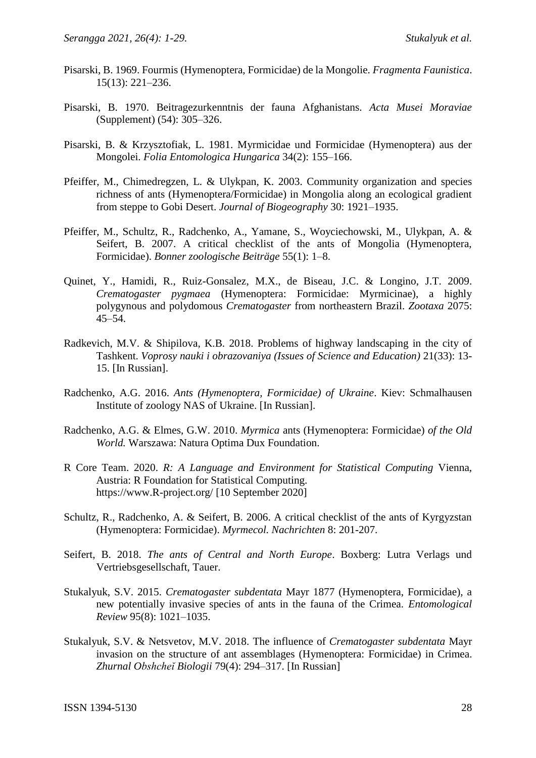- Pisarski, B. 1969. Fourmis (Hymenoptera, Formicidae) de la Mongolie. *Fragmenta Faunistica*. 15(13): 221–236.
- Pisarski, B. 1970. Beitragezurkenntnis der fauna Afghanistans. *Acta Musei Moraviae* (Supplement) (54): 305–326.
- Pisarski, B. & Krzysztofiak, L. 1981. Myrmicidae und Formicidae (Hymenoptera) aus der Mongolei. *Folia Entomologica Hungarica* 34(2): 155–166.
- Pfeiffer, M., Chimedregzen, L. & Ulykpan, K. 2003. Community organization and species richness of ants (Hymenoptera/Formicidae) in Mongolia along an ecological gradient from steppe to Gobi Desert. *Journal of Biogeography* 30: 1921–1935.
- Pfeiffer, M., Schultz, R., Radchenko, A., Yamane, S., Woyciechowski, M., Ulykpan, A. & Seifert, B. 2007. A critical checklist of the ants of Mongolia (Hymenoptera, Formicidae). *Bonner zoologische Beiträge* 55(1): 1–8.
- Quinet, Y., Hamidi, R., Ruiz-Gonsalez, M.X., de Biseau, J.C. & Longino, J.T. 2009. *Crematogaster pygmaea* (Hymenoptera: Formicidae: Myrmicinae), a highly polygynous and polydomous *Crematogaster* from northeastern Brazil. *Zootaxa* 2075: 45–54.
- Radkevich, M.V. & Shipilova, K.B. 2018. Problems of highway landscaping in the city of Tashkent. *Voprosy nauki i obrazovaniya (Issues of Science and Education)* 21(33): 13- 15. [In Russian].
- Radchenko, A.G. 2016. *Ants (Hymenoptera, Formicidae) of Ukraine*. Kiev: Schmalhausen Institute of zoology NAS of Ukraine. [In Russian].
- Radchenko, A.G. & Elmes, G.W. 2010. *Myrmica* ants (Hymenoptera: Formicidae) *of the Old World.* Warszawa: Natura Optima Dux Foundation.
- R Core Team. 2020. *R: A Language and Environment for Statistical Computing* Vienna, Austria: R Foundation for Statistical Computing. [https://www.R-project.org/](https://www.r-project.org/) [10 September 2020]
- Schultz, R., Radchenko, A. & Seifert, B. 2006. A critical checklist of the ants of Kyrgyzstan (Hymenoptera: Formicidae). *Myrmecol. Nachrichten* 8: 201-207.
- Seifert, B. 2018. *The ants of Central and North Europe*. Boxberg: Lutra Verlags und Vertriebsgesellschaft, Tauer.
- Stukalyuk, S.V. 2015. *Crematogaster subdentata* Mayr 1877 (Hymenoptera, Formicidae), a new potentially invasive species of ants in the fauna of the Crimea. *Entomological Review* 95(8): 1021–1035.
- Stukalyuk, S.V. & Netsvetov, M.V. 2018. The influence of *Crematogaster subdentata* Mayr invasion on the structure of ant assemblages (Hymenoptera: Formicidae) in Crimea. *Zhurnal Obshcheĭ Biologii* 79(4): 294–317. [In Russian]